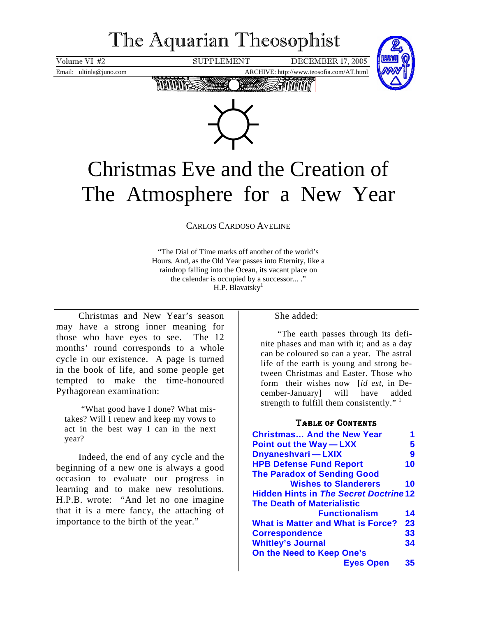# The Aquarian Theosophist

<span id="page-0-0"></span>Volume VI #2 SUPPLEMENT DECEMBER 17, 2005



Email: ultinla@juno.com ARCHIVE: http://www.teosofia.com/AT.html





# Christmas Eve and the Creation of The Atmosphere for a New Year

CARLOS CARDOSO AVELINE

"The Dial of Time marks off another of the world's Hours. And, as the Old Year passes into Eternity, like a raindrop falling into the Ocean, its vacant place on the calendar is occupied by a successor... ." H.P. Blavatsky $<sup>1</sup>$ </sup>

Christmas and New Year's season She added: may have a strong inner meaning for those who have eyes to see. The 12 months' round corresponds to a whole cycle in our existence. A page is turned in the book of life, and some people get tempted to make the time-honoured Pythagorean examination:

"What good have I done? What mistakes? Will I renew and keep my vows to act in the best way I can in the next year?

Indeed, the end of any cycle and the beginning of a new one is always a good occasion to evaluate our progress in learning and to make new resolutions. H.P.B. wrote: "And let no one imagine that it is a mere fancy, the attaching of importance to the birth of the year."

"The earth passes through its definite phases and man with it; and as a day can be coloured so can a year. The astral life of the earth is young and strong between Christmas and Easter. Those who form their wishes now [*id est*, in December-January] will have added strength to fulfill them consistently."  $1$ 

#### TABLE OF CONTENTS

| <b>Christmas And the New Year</b>             |    |  |
|-----------------------------------------------|----|--|
| Point out the Way - LXX                       | 5  |  |
| Dnyaneshvari - LXIX                           | 9  |  |
| <b>HPB Defense Fund Report</b>                | 10 |  |
| <b>The Paradox of Sending Good</b>            |    |  |
| <b>Wishes to Slanderers</b>                   | 10 |  |
| <b>Hidden Hints in The Secret Doctrine 12</b> |    |  |
| <b>The Death of Materialistic</b>             |    |  |
| <b>Functionalism</b>                          | 14 |  |
| <b>What is Matter and What is Force?</b>      | 23 |  |
| <b>Correspondence</b>                         | 33 |  |
| <b>Whitley's Journal</b>                      | 34 |  |
| On the Need to Keep One's                     |    |  |
| <b>Eyes Open</b>                              | 35 |  |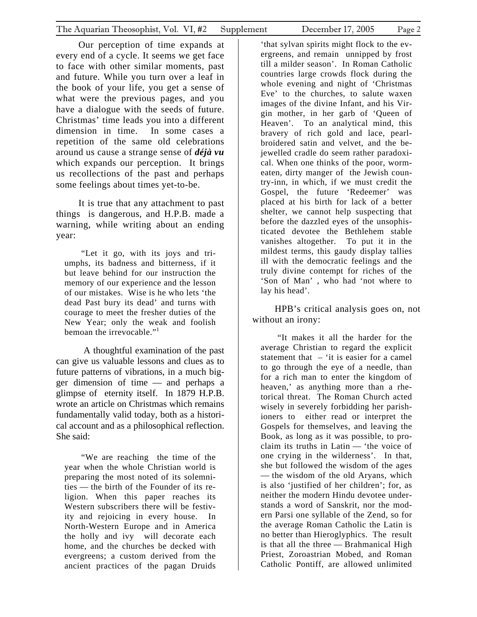Our perception of time expands at every end of a cycle. It seems we get face to face with other similar moments, past and future. While you turn over a leaf in the book of your life, you get a sense of what were the previous pages, and you have a dialogue with the seeds of future. Christmas' time leads you into a different dimension in time. In some cases a repetition of the same old celebrations around us cause a strange sense of *déjà vu* which expands our perception. It brings us recollections of the past and perhaps some feelings about times yet-to-be.

It is true that any attachment to past things is dangerous, and H.P.B. made a warning, while writing about an ending year:

"Let it go, with its joys and triumphs, its badness and bitterness, if it but leave behind for our instruction the memory of our experience and the lesson of our mistakes. Wise is he who lets 'the dead Past bury its dead' and turns with courage to meet the fresher duties of the New Year; only the weak and foolish bemoan the irrevocable."<sup>1</sup>

A thoughtful examination of the past can give us valuable lessons and clues as to future patterns of vibrations, in a much bigger dimension of time — and perhaps a glimpse of eternity itself. In 1879 H.P.B. wrote an article on Christmas which remains fundamentally valid today, both as a historical account and as a philosophical reflection. She said:

"We are reaching the time of the year when the whole Christian world is preparing the most noted of its solemnities — the birth of the Founder of its religion. When this paper reaches its Western subscribers there will be festivity and rejoicing in every house. In North-Western Europe and in America the holly and ivy will decorate each home, and the churches be decked with evergreens; a custom derived from the ancient practices of the pagan Druids

'that sylvan spirits might flock to the evergreens, and remain unnipped by frost till a milder season'. In Roman Catholic countries large crowds flock during the whole evening and night of 'Christmas Eve' to the churches, to salute waxen images of the divine Infant, and his Virgin mother, in her garb of 'Queen of Heaven'. To an analytical mind, this bravery of rich gold and lace, pearlbroidered satin and velvet, and the bejewelled cradle do seem rather paradoxical. When one thinks of the poor, wormeaten, dirty manger of the Jewish country-inn, in which, if we must credit the Gospel, the future 'Redeemer' was placed at his birth for lack of a better shelter, we cannot help suspecting that before the dazzled eyes of the unsophisticated devotee the Bethlehem stable vanishes altogether. To put it in the mildest terms, this gaudy display tallies ill with the democratic feelings and the truly divine contempt for riches of the 'Son of Man' , who had 'not where to lay his head'.

HPB's critical analysis goes on, not without an irony:

"It makes it all the harder for the average Christian to regard the explicit statement that – 'it is easier for a camel to go through the eye of a needle, than for a rich man to enter the kingdom of heaven,' as anything more than a rhetorical threat. The Roman Church acted wisely in severely forbidding her parishioners to either read or interpret the Gospels for themselves, and leaving the Book, as long as it was possible, to proclaim its truths in Latin — 'the voice of one crying in the wilderness'. In that, she but followed the wisdom of the ages — the wisdom of the old Aryans, which is also 'justified of her children'; for, as neither the modern Hindu devotee understands a word of Sanskrit, nor the modern Parsi one syllable of the Zend, so for the average Roman Catholic the Latin is no better than Hieroglyphics. The result is that all the three — Brahmanical High Priest, Zoroastrian Mobed, and Roman Catholic Pontiff, are allowed unlimited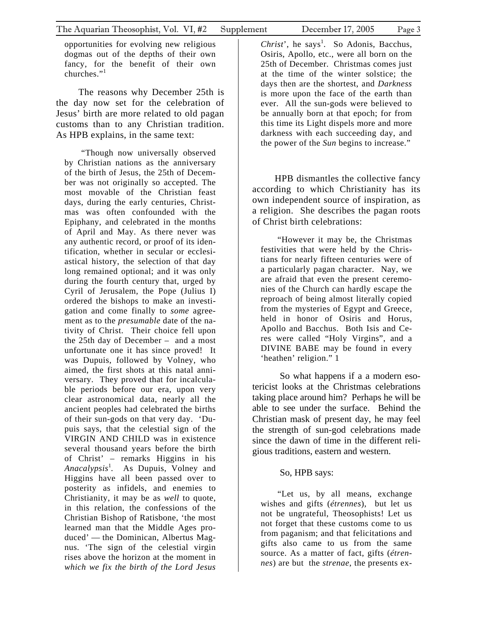opportunities for evolving new religious dogmas out of the depths of their own fancy, for the benefit of their own churches."<sup>1</sup>

The reasons why December 25th is the day now set for the celebration of Jesus' birth are more related to old pagan customs than to any Christian tradition. As HPB explains, in the same text:

"Though now universally observed by Christian nations as the anniversary of the birth of Jesus, the 25th of December was not originally so accepted. The most movable of the Christian feast days, during the early centuries, Christmas was often confounded with the Epiphany, and celebrated in the months of April and May. As there never was any authentic record, or proof of its identification, whether in secular or ecclesiastical history, the selection of that day long remained optional; and it was only during the fourth century that, urged by Cyril of Jerusalem, the Pope (Julius I) ordered the bishops to make an investigation and come finally to *some* agreement as to the *presumable* date of the nativity of Christ. Their choice fell upon the 25th day of December – and a most unfortunate one it has since proved! It was Dupuis, followed by Volney, who aimed, the first shots at this natal anniversary. They proved that for incalculable periods before our era, upon very clear astronomical data, nearly all the ancient peoples had celebrated the births of their sun-gods on that very day. 'Dupuis says, that the celestial sign of the VIRGIN AND CHILD was in existence several thousand years before the birth of Christ' – remarks Higgins in his *Anacalypsis*<sup>1</sup> *.* As Dupuis, Volney and Higgins have all been passed over to posterity as infidels, and enemies to Christianity, it may be as *well* to quote, in this relation, the confessions of the Christian Bishop of Ratisbone, 'the most learned man that the Middle Ages produced' — the Dominican, Albertus Magnus. 'The sign of the celestial virgin rises above the horizon at the moment in *which we fix the birth of the Lord Jesus* 

*Christ*', he says<sup>1</sup>. So Adonis, Bacchus, Osiris, Apollo, etc., were all born on the 25th of December. Christmas comes just at the time of the winter solstice; the days then are the shortest, and *Darkness* is more upon the face of the earth than ever. All the sun-gods were believed to be annually born at that epoch; for from this time its Light dispels more and more darkness with each succeeding day, and the power of the *Sun* begins to increase."

HPB dismantles the collective fancy according to which Christianity has its own independent source of inspiration, as a religion. She describes the pagan roots of Christ birth celebrations:

"However it may be, the Christmas festivities that were held by the Christians for nearly fifteen centuries were of a particularly pagan character. Nay, we are afraid that even the present ceremonies of the Church can hardly escape the reproach of being almost literally copied from the mysteries of Egypt and Greece, held in honor of Osiris and Horus, Apollo and Bacchus. Both Isis and Ceres were called "Holy Virgins", and a DIVINE BABE may be found in every 'heathen' religion." 1

So what happens if a a modern esotericist looks at the Christmas celebrations taking place around him? Perhaps he will be able to see under the surface. Behind the Christian mask of present day, he may feel the strength of sun-god celebrations made since the dawn of time in the different religious traditions, eastern and western.

#### So, HPB says:

"Let us, by all means, exchange wishes and gifts (*étrennes*), but let us not be ungrateful, Theosophists! Let us not forget that these customs come to us from paganism; and that felicitations and gifts also came to us from the same source. As a matter of fact, gifts (*étrennes*) are but the *strenae*, the presents ex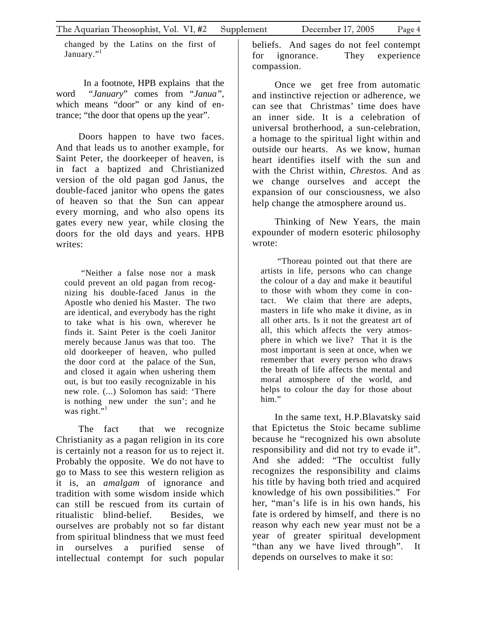changed by the Latins on the first of January."<sup>1</sup>

In a footnote, HPB explains that the word "*January*" comes from "*Janua",*  which means "door" or any kind of entrance; "the door that opens up the year".

Doors happen to have two faces. And that leads us to another example, for Saint Peter, the doorkeeper of heaven, is in fact a baptized and Christianized version of the old pagan god Janus, the double-faced janitor who opens the gates of heaven so that the Sun can appear every morning, and who also opens its gates every new year, while closing the doors for the old days and years. HPB writes:

"Neither a false nose nor a mask could prevent an old pagan from recognizing his double-faced Janus in the Apostle who denied his Master. The two are identical, and everybody has the right to take what is his own, wherever he finds it. Saint Peter is the coeli Janitor merely because Janus was that too. The old doorkeeper of heaven, who pulled the door cord at the palace of the Sun, and closed it again when ushering them out, is but too easily recognizable in his new role. (...) Solomon has said: 'There is nothing new under the sun'; and he was right." $\cdot$ <sup>1</sup>

The fact that we recognize Christianity as a pagan religion in its core is certainly not a reason for us to reject it. Probably the opposite. We do not have to go to Mass to see this western religion as it is, an *amalgam* of ignorance and tradition with some wisdom inside which can still be rescued from its curtain of ritualistic blind-belief. Besides, we ourselves are probably not so far distant from spiritual blindness that we must feed in ourselves a purified sense of intellectual contempt for such popular

beliefs. And sages do not feel contempt for ignorance. They experience compassion.

Once we get free from automatic and instinctive rejection or adherence, we can see that Christmas' time does have an inner side. It is a celebration of universal brotherhood, a sun-celebration, a homage to the spiritual light within and outside our hearts. As we know, human heart identifies itself with the sun and with the Christ within, *Chrestos.* And as we change ourselves and accept the expansion of our consciousness, we also help change the atmosphere around us.

Thinking of New Years, the main expounder of modern esoteric philosophy wrote:

"Thoreau pointed out that there are artists in life, persons who can change the colour of a day and make it beautiful to those with whom they come in contact. We claim that there are adepts, masters in life who make it divine, as in all other arts. Is it not the greatest art of all, this which affects the very atmosphere in which we live? That it is the most important is seen at once, when we remember that every person who draws the breath of life affects the mental and moral atmosphere of the world, and helps to colour the day for those about him."

In the same text, H.P.Blavatsky said that Epictetus the Stoic became sublime because he "recognized his own absolute responsibility and did not try to evade it". And she added: "The occultist fully recognizes the responsibility and claims his title by having both tried and acquired knowledge of his own possibilities." For her, "man's life is in his own hands, his fate is ordered by himself, and there is no reason why each new year must not be a year of greater spiritual development "than any we have lived through". It depends on ourselves to make it so: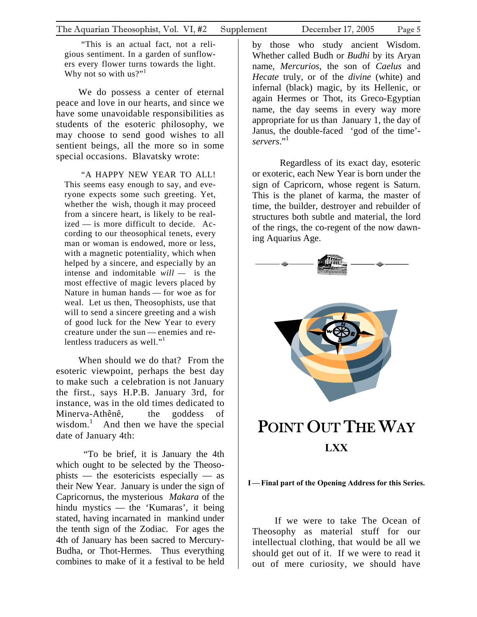<span id="page-4-0"></span>"This is an actual fact, not a religious sentiment. In a garden of sunflowers every flower turns towards the light. Why not so with us?" $1$ 

We do possess a center of eternal peace and love in our hearts, and since we have some unavoidable responsibilities as students of the esoteric philosophy, we may choose to send good wishes to all sentient beings, all the more so in some special occasions. Blavatsky wrote:

"A HAPPY NEW YEAR TO ALL! This seems easy enough to say, and everyone expects some such greeting. Yet, whether the wish, though it may proceed from a sincere heart, is likely to be realized — is more difficult to decide. According to our theosophical tenets, every man or woman is endowed, more or less, with a magnetic potentiality, which when helped by a sincere, and especially by an intense and indomitable *will —* is the most effective of magic levers placed by Nature in human hands — for woe as for weal. Let us then, Theosophists, use that will to send a sincere greeting and a wish of good luck for the New Year to every creature under the sun — enemies and relentless traducers as well."<sup>1</sup>

When should we do that? From the esoteric viewpoint, perhaps the best day to make such a celebration is not January the first., says H.P.B. January 3rd, for instance, was in the old times dedicated to Minerva-Athênê, the goddess of wisdom.<sup>1</sup> And then we have the special date of January 4th:

"To be brief, it is January the 4th which ought to be selected by the Theosophists — the esotericists especially — as their New Year. January is under the sign of Capricornus, the mysterious *Makara* of the hindu mystics — the 'Kumaras', it being stated, having incarnated in mankind under the tenth sign of the Zodiac. For ages the 4th of January has been sacred to Mercury-Budha, or Thot-Hermes. Thus everything combines to make of it a festival to be held

by those who study ancient Wisdom. Whether called Budh or *Budhi* by its Aryan name, *Mercurios*, the son of *Caelus* and *Hecate* truly, or of the *divine* (white) and infernal (black) magic, by its Hellenic, or again Hermes or Thot, its Greco-Egyptian name, the day seems in every way more appropriate for us than January 1, the day of Janus, the double-faced 'god of the time' *servers*."1

Regardless of its exact day, esoteric or exoteric, each New Year is born under the sign of Capricorn, whose regent is Saturn. This is the planet of karma, the master of time, the builder, destroyer and rebuilder of structures both subtle and material, the lord of the rings, the co-regent of the now dawning Aquarius Age.



**I—Final part of the Opening Address for this Series.** 

If we were to take The Ocean of Theosophy as material stuff for our intellectual clothing, that would be all we should get out of it. If we were to read it out of mere curiosity, we should have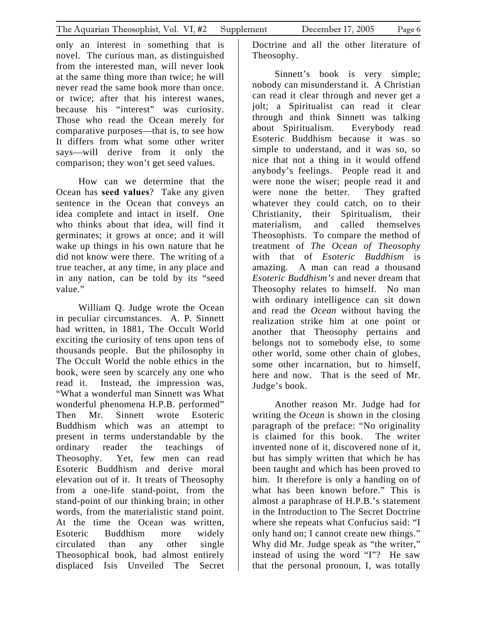only an interest in something that is novel. The curious man, as distinguished from the interested man, will never look at the same thing more than twice; he will never read the same book more than once. or twice; after that his interest wanes, because his "interest" was curiosity. Those who read the Ocean merely for comparative purposes—that is, to see how It differs from what some other writer says—will derive from it only the comparison; they won't get seed values.

How can we determine that the Ocean has **seed values**? Take any given sentence in the Ocean that conveys an idea complete and intact in itself. One who thinks about that idea, will find it germinates; it grows at once; and it will wake up things in his own nature that he did not know were there. The writing of a true teacher, at any time, in any place and in any nation, can be told by its "seed value."

William Q. Judge wrote the Ocean in peculiar circumstances. A. P. Sinnett had written, in 1881, The Occult World exciting the curiosity of tens upon tens of thousands people. But the philosophy in The Occult World the noble ethics in the book, were seen by scarcely any one who read it. Instead, the impression was, "What a wonderful man Sinnett was What wonderful phenomena H.P.B. performed" Then Mr. Sinnett wrote Esoteric Buddhism which was an attempt to present in terms understandable by the ordinary reader the teachings of Theosophy. Yet, few men can read Esoteric Buddhism and derive moral elevation out of it. It treats of Theosophy from a one-life stand-point, from the stand-point of our thinking brain; in other words, from the materialistic stand point. At the time the Ocean was written, Esoteric Buddhism more widely circulated than any other single Theosophical book, had almost entirely displaced Isis Unveiled The Secret Doctrine and all the other literature of Theosophy.

Sinnett's book is very simple; nobody can misunderstand it. A Christian can read it clear through and never get a jolt; a Spiritualist can read it clear through and think Sinnett was talking about Spiritualism. Everybody read Esoteric Buddhism because it was so simple to understand, and it was so, so nice that not a thing in it would offend anybody's feelings. People read it and were none the wiser; people read it and were none the better. They grafted whatever they could catch, on to their Christianity, their Spiritualism, their materialism, and called themselves Theosophists. To compare the method of treatment of *The Ocean of Theosophy* with that of *Esoteric Buddhism* is amazing. A man can read a thousand *Esoteric Buddhism's* and never dream that Theosophy relates to himself. No man with ordinary intelligence can sit down and read the *Ocean* without having the realization strike him at one point or another that Theosophy pertains and belongs not to somebody else, to some other world, some other chain of globes, some other incarnation, but to himself, here and now. That is the seed of Mr. Judge's book.

Another reason Mr. Judge had for writing the *Ocean* is shown in the closing paragraph of the preface: "No originality is claimed for this book. The writer invented none of it, discovered none of it, but has simply written that which he has been taught and which has been proved to him. It therefore is only a handing on of what has been known before." This is almost a paraphrase of H.P.B.'s statement in the Introduction to The Secret Doctrine where she repeats what Confucius said: "I only hand on; I cannot create new things." Why did Mr. Judge speak as "the writer," instead of using the word "I"? He saw that the personal pronoun, I, was totally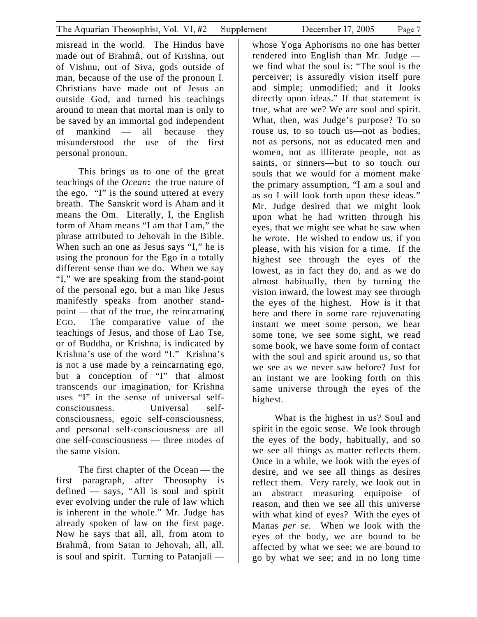misread in the world. The Hindus have made out of Brahmâ, out of Krishna, out of Vishnu, out of Siva, gods outside of man, because of the use of the pronoun I. Christians have made out of Jesus an outside God, and turned his teachings around to mean that mortal man is only to be saved by an immortal god independent of mankind — all because they misunderstood the use of the first personal pronoun.

This brings us to one of the great teachings of the *Ocean***:** the true nature of the ego. "I" is the sound uttered at every breath. The Sanskrit word is Aham and it means the Om. Literally, I, the English form of Aham means "I am that I am," the phrase attributed to Jehovah in the Bible. When such an one as Jesus says "I," he is using the pronoun for the Ego in a totally different sense than we do. When we say "I," we are speaking from the stand-point of the personal ego, but a man like Jesus manifestly speaks from another standpoint — that of the true, the reincarnating EGO. The comparative value of the teachings of Jesus, and those of Lao Tse, or of Buddha, or Krishna, is indicated by Krishna's use of the word "I." Krishna's is not a use made by a reincarnating ego, but a conception of "I" that almost transcends our imagination, for Krishna uses "I" in the sense of universal selfconsciousness. Universal selfconsciousness, egoic self-consciousness, and personal self-consciousness are all one self-consciousness — three modes of the same vision.

The first chapter of the Ocean — the first paragraph, after Theosophy is defined — says, "All is soul and spirit ever evolving under the rule of law which is inherent in the whole." Mr. Judge has already spoken of law on the first page. Now he says that all, all, from atom to Brahmâ, from Satan to Jehovah, all, all, is soul and spirit. Turning to Patanjali —

whose Yoga Aphorisms no one has better rendered into English than Mr. Judge we find what the soul is: "The soul is the perceiver; is assuredly vision itself pure and simple; unmodified; and it looks directly upon ideas." If that statement is true, what are we? We are soul and spirit. What, then, was Judge's purpose? To so rouse us, to so touch us—not as bodies, not as persons, not as educated men and women, not as illiterate people, not as saints, or sinners—but to so touch our souls that we would for a moment make the primary assumption, "I am a soul and as so I will look forth upon these ideas." Mr. Judge desired that we might look upon what he had written through his eyes, that we might see what he saw when he wrote. He wished to endow us, if you please, with his vision for a time. If the highest see through the eyes of the lowest, as in fact they do, and as we do almost habitually, then by turning the vision inward, the lowest may see through the eyes of the highest. How is it that here and there in some rare rejuvenating instant we meet some person, we hear some tone, we see some sight, we read some book, we have some form of contact with the soul and spirit around us, so that we see as we never saw before? Just for an instant we are looking forth on this same universe through the eyes of the highest.

What is the highest in us? Soul and spirit in the egoic sense. We look through the eyes of the body, habitually, and so we see all things as matter reflects them. Once in a while, we look with the eyes of desire, and we see all things as desires reflect them. Very rarely, we look out in an abstract measuring equipoise of reason, and then we see all this universe with what kind of eyes? With the eyes of Manas *per se.* When we look with the eyes of the body, we are bound to be affected by what we see; we are bound to go by what we see; and in no long time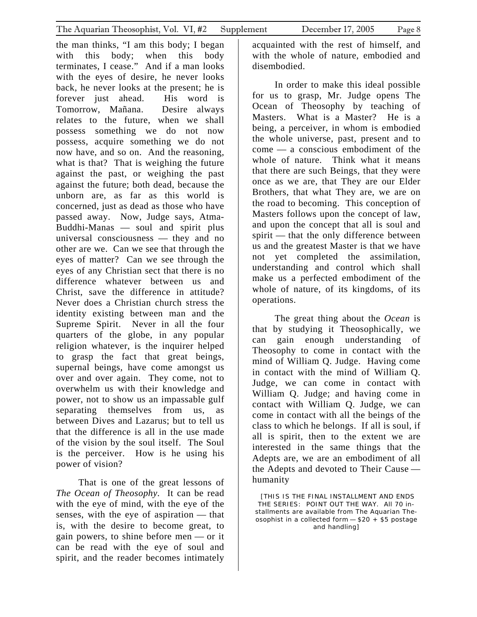the man thinks, "I am this body; I began with this body; when this body terminates, I cease." And if a man looks with the eyes of desire, he never looks back, he never looks at the present; he is forever just ahead. His word is Tomorrow, Mañana. Desire always relates to the future, when we shall possess something we do not now possess, acquire something we do not now have, and so on. And the reasoning, what is that? That is weighing the future against the past, or weighing the past against the future; both dead, because the unborn are, as far as this world is concerned, just as dead as those who have passed away. Now, Judge says, Atma-Buddhi-Manas — soul and spirit plus universal consciousness — they and no other are we. Can we see that through the eyes of matter? Can we see through the eyes of any Christian sect that there is no difference whatever between us and Christ, save the difference in attitude? Never does a Christian church stress the identity existing between man and the Supreme Spirit. Never in all the four quarters of the globe, in any popular religion whatever, is the inquirer helped to grasp the fact that great beings, supernal beings, have come amongst us over and over again. They come, not to overwhelm us with their knowledge and power, not to show us an impassable gulf separating themselves from us, as between Dives and Lazarus; but to tell us that the difference is all in the use made of the vision by the soul itself. The Soul is the perceiver. How is he using his power of vision?

That is one of the great lessons of *The Ocean of Theosophy.* It can be read with the eye of mind, with the eye of the senses, with the eye of aspiration — that is, with the desire to become great, to gain powers, to shine before men — or it can be read with the eye of soul and spirit, and the reader becomes intimately

acquainted with the rest of himself, and with the whole of nature, embodied and disembodied.

In order to make this ideal possible for us to grasp, Mr. Judge opens The Ocean of Theosophy by teaching of Masters. What is a Master? He is a being, a perceiver, in whom is embodied the whole universe, past, present and to come — a conscious embodiment of the whole of nature. Think what it means that there are such Beings, that they were once as we are, that They are our Elder Brothers, that what They are, we are on the road to becoming. This conception of Masters follows upon the concept of law, and upon the concept that all is soul and spirit — that the only difference between us and the greatest Master is that we have not yet completed the assimilation, understanding and control which shall make us a perfected embodiment of the whole of nature, of its kingdoms, of its operations.

The great thing about the *Ocean* is that by studying it Theosophically, we can gain enough understanding of Theosophy to come in contact with the mind of William Q. Judge. Having come in contact with the mind of William Q. Judge, we can come in contact with William Q. Judge; and having come in contact with William Q. Judge, we can come in contact with all the beings of the class to which he belongs. If all is soul, if all is spirit, then to the extent we are interested in the same things that the Adepts are, we are an embodiment of all the Adepts and devoted to Their Cause humanity

 [THIS IS THE FINAL INSTALLMENT AND ENDS THE SERIES: *POINT OUT THE WAY. All 70 installments are* available from *The Aquarian Theosophist* in a collected form — \$20 + \$5 postage and handling]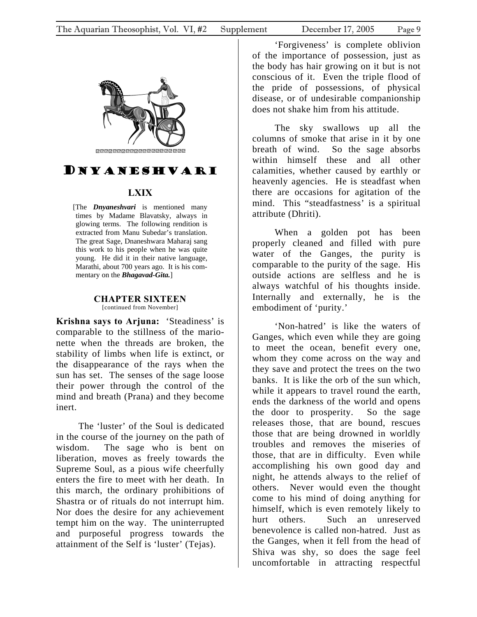<span id="page-8-0"></span>

#### 2222222222222222222222

### DNYANESHVARI

#### **LXIX**

[The *Dnyaneshvari* is mentioned many times by Madame Blavatsky, always in glowing terms. The following rendition is extracted from Manu Subedar's translation. The great Sage, Dnaneshwara Maharaj sang this work to his people when he was quite young. He did it in their native language, Marathi, about 700 years ago. It is his commentary on the *Bhagavad-Gita.*]

#### **CHAPTER SIXTEEN**  [continued from November]

**Krishna says to Arjuna:** 'Steadiness' is comparable to the stillness of the marionette when the threads are broken, the stability of limbs when life is extinct, or the disappearance of the rays when the sun has set. The senses of the sage loose their power through the control of the mind and breath (Prana) and they become inert.

The 'luster' of the Soul is dedicated in the course of the journey on the path of wisdom. The sage who is bent on liberation, moves as freely towards the Supreme Soul, as a pious wife cheerfully enters the fire to meet with her death. In this march, the ordinary prohibitions of Shastra or of rituals do not interrupt him. Nor does the desire for any achievement tempt him on the way. The uninterrupted and purposeful progress towards the attainment of the Self is 'luster' (Tejas).

'Forgiveness' is complete oblivion of the importance of possession, just as the body has hair growing on it but is not conscious of it. Even the triple flood of the pride of possessions, of physical disease, or of undesirable companionship does not shake him from his attitude.

The sky swallows up all the columns of smoke that arise in it by one breath of wind. So the sage absorbs within himself these and all other calamities, whether caused by earthly or heavenly agencies. He is steadfast when there are occasions for agitation of the mind. This "steadfastness' is a spiritual attribute (Dhriti).

When a golden pot has been properly cleaned and filled with pure water of the Ganges, the purity is comparable to the purity of the sage. His outside actions are selfless and he is always watchful of his thoughts inside. Internally and externally, he is the embodiment of 'purity.'

'Non-hatred' is like the waters of Ganges, which even while they are going to meet the ocean, benefit every one, whom they come across on the way and they save and protect the trees on the two banks. It is like the orb of the sun which, while it appears to travel round the earth. ends the darkness of the world and opens the door to prosperity. So the sage releases those, that are bound, rescues those that are being drowned in worldly troubles and removes the miseries of those, that are in difficulty. Even while accomplishing his own good day and night, he attends always to the relief of others. Never would even the thought come to his mind of doing anything for himself, which is even remotely likely to hurt others. Such an unreserved benevolence is called non-hatred. Just as the Ganges, when it fell from the head of Shiva was shy, so does the sage feel uncomfortable in attracting respectful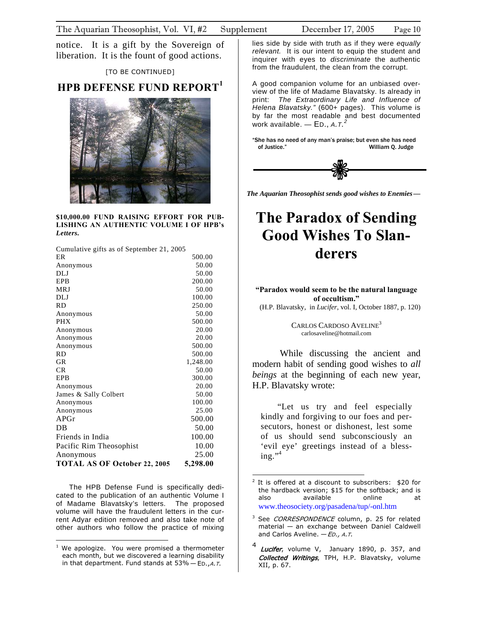<span id="page-9-0"></span>notice. It is a gift by the Sovereign of liberation. It is the fount of good actions.

[TO BE CONTINUED]

#### **HPB DEFENSE FUND REPORT[1](#page-9-1)**



**\$10,000.00 FUND RAISING EFFORT FOR PUB-LISHING AN AUTHENTIC VOLUME I OF HPB's**  *Letters.*

| Cumulative gifts as of September 21, 2005 |          |
|-------------------------------------------|----------|
| ER                                        | 500.00   |
| Anonymous                                 | 50.00    |
| DLJ                                       | 50.00    |
| EPB                                       | 200.00   |
| <b>MRJ</b>                                | 50.00    |
| DLJ                                       | 100.00   |
| <b>RD</b>                                 | 250.00   |
| Anonymous                                 | 50.00    |
| <b>PHX</b>                                | 500.00   |
| Anonymous                                 | 20.00    |
| Anonymous                                 | 20.00    |
| Anonymous                                 | 500.00   |
| <b>RD</b>                                 | 500.00   |
| <b>GR</b>                                 | 1,248.00 |
| CR                                        | 50.00    |
| EPB                                       | 300.00   |
| Anonymous                                 | 20.00    |
| James & Sally Colbert                     | 50.00    |
| Anonymous                                 | 100.00   |
| Anonymous                                 | 25.00    |
| APGr                                      | 500.00   |
| DB                                        | 50.00    |
| Friends in India                          | 100.00   |
| Pacific Rim Theosophist                   | 10.00    |
| Anonymous                                 | 25.00    |
| <b>TOTAL AS OF October 22, 2005</b>       | 5,298.00 |

The HPB Defense Fund is specifically dedicated to the publication of an authentic Volume I of Madame Blavatsky's letters. The proposed volume will have the fraudulent letters in the current Adyar edition removed and also take note of other authors who follow the practice of mixing lies side by side with truth as if they were *equally relevant.* It is our intent to equip the student and inquirer with eyes to *discriminate* the authentic from the fraudulent, the clean from the corrupt.

A good companion volume for an unbiased overview of the life of Madame Blavatsky. Is already in print: *The Extraordinary Life and Influence of Helena Blavatsky."* (600+ pages). This volume is by far the most readable and best documented work available. — ED., *A.T. [2](#page-9-2)*

"She has no need of any man's praise; but even she has need William Q. Judge



*The Aquarian Theosophist sends good wishes to Enemies—*

### **The Paradox of Sending Good Wishes To Slanderers**

#### **"Paradox would seem to be the natural language of occultism."**

(H.P. Blavatsky, in *Lucifer*, vol. I, October 1887, p. 120)

CARLOS CARDOSO AVELINE<sup>[3](#page-9-3)</sup> carlosaveline@hotmail.com

While discussing the ancient and modern habit of sending good wishes to *all beings* at the beginning of each new year, H.P. Blavatsky wrote:

"Let us try and feel especially kindly and forgiving to our foes and persecutors, honest or dishonest, lest some of us should send subconsciously an 'evil eye' greetings instead of a bless $ing.$ <sup>"[4](#page-9-4)</sup>

<span id="page-9-1"></span> 1 We apologize. You were promised a thermometer each month, but we discovered a learning disability in that department. Fund stands at  $53\%$  - ED., A.T.

<span id="page-9-2"></span> $\overline{a}$ 2 It is offered at a discount to subscribers: \$20 for the hardback version; \$15 for the softback; and is also available online at [www.theosociety.org/pasadena/tup/-onl.htm](http://www.theosociety.org/pasadena/tup/-onl.htm)

<span id="page-9-3"></span>and Carlos Aveline. - ED., A.T. <sup>3</sup> See *CORRESPONDENCE* column, p. 25 for related material — an exchange between Daniel Caldwell

<span id="page-9-4"></span>Collected Writings, TPH, H.P. Blavatsky, volume Lucifer, volume V, January 1890, p. 357, and XII, p. 67.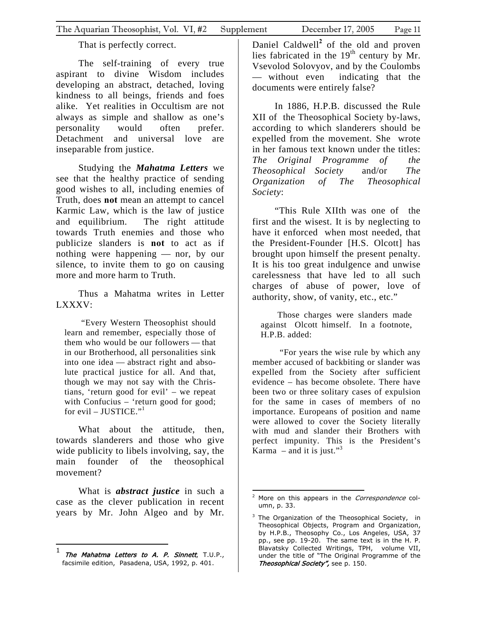That is perfectly correct.

The self-training of every true aspirant to divine Wisdom includes developing an abstract, detached, loving kindness to all beings, friends and foes alike. Yet realities in Occultism are not always as simple and shallow as one's personality would often prefer. Detachment and universal love are inseparable from justice.

Studying the *Mahatma Letters* we see that the healthy practice of sending good wishes to all, including enemies of Truth, does **not** mean an attempt to cancel Karmic Law, which is the law of justice and equilibrium. The right attitude towards Truth enemies and those who publicize slanders is **not** to act as if nothing were happening — nor, by our silence, to invite them to go on causing more and more harm to Truth.

Thus a Mahatma writes in Letter LXXXV:

"Every Western Theosophist should learn and remember, especially those of them who would be our followers — that in our Brotherhood, all personalities sink into one idea — abstract right and absolute practical justice for all. And that, though we may not say with the Christians, 'return good for evil' – we repeat with Confucius – 'return good for good; for evil – JUSTICE." $^1$  $^1$ 

What about the attitude, then, towards slanderers and those who give wide publicity to libels involving, say, the main founder of the theosophical movement?

What is *abstract justice* in such a case as the clever publication in recent years by Mr. John Algeo and by Mr.

 $\overline{a}$ 

Daniel Caldwell<sup>[2](#page-10-1)</sup> of the old and proven lies fabricated in the  $19<sup>th</sup>$  century by Mr. Vsevolod Solovyov, and by the Coulombs — without even indicating that the documents were entirely false?

In 1886, H.P.B. discussed the Rule XII of the Theosophical Society by-laws, according to which slanderers should be expelled from the movement. She wrote in her famous text known under the titles: *The Original Programme of the Theosophical Society* and/or *The Organization of The Theosophical Society*:

"This Rule XIIth was one of the first and the wisest. It is by neglecting to have it enforced when most needed, that the President-Founder [H.S. Olcott] has brought upon himself the present penalty. It is his too great indulgence and unwise carelessness that have led to all such charges of abuse of power, love of authority, show, of vanity, etc., etc."

Those charges were slanders made against Olcott himself. In a footnote, H.P.B. added:

"For years the wise rule by which any member accused of backbiting or slander was expelled from the Society after sufficient evidence – has become obsolete. There have been two or three solitary cases of expulsion for the same in cases of members of no importance. Europeans of position and name were allowed to cover the Society literally with mud and slander their Brothers with perfect impunity. This is the President's Karma – and it is just."<sup>[3](#page-10-2)</sup>

<span id="page-10-0"></span> $^1$  The Mahatma Letters to A. P. Sinnett, <code>T.U.P.</code>, facsimile edition, Pasadena, USA, 1992, p. 401.

<span id="page-10-1"></span> $\overline{a}$ 2 More on this appears in the *Correspondence* column, p. 33.

<span id="page-10-2"></span><sup>&</sup>lt;sup>3</sup> The Organization of the Theosophical Society, in Theosophical Objects, Program and Organization, by H.P.B., Theosophy Co., Los Angeles, USA, 37 pp., see pp. 19-20. The same text is in the H. P. Blavatsky Collected Writings, TPH, volume VII, under the title of "The Original Programme of the Theosophical Society", see p. 150.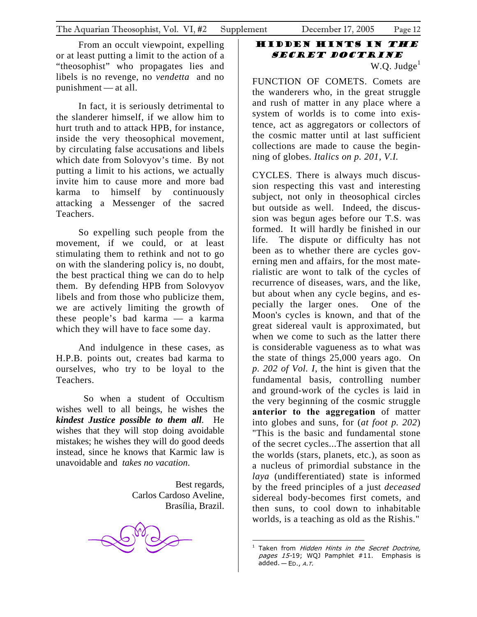<span id="page-11-0"></span>From an occult viewpoint, expelling or at least putting a limit to the action of a "theosophist" who propagates lies and libels is no revenge, no *vendetta* and no punishment — at all.

In fact, it is seriously detrimental to the slanderer himself, if we allow him to hurt truth and to attack HPB, for instance, inside the very theosophical movement, by circulating false accusations and libels which date from Solovyov's time. By not putting a limit to his actions, we actually invite him to cause more and more bad karma to himself by continuously attacking a Messenger of the sacred Teachers.

So expelling such people from the movement, if we could, or at least stimulating them to rethink and not to go on with the slandering policy is, no doubt, the best practical thing we can do to help them. By defending HPB from Solovyov libels and from those who publicize them, we are actively limiting the growth of these people's bad karma — a karma which they will have to face some day.

And indulgence in these cases, as H.P.B. points out, creates bad karma to ourselves, who try to be loyal to the Teachers.

So when a student of Occultism wishes well to all beings, he wishes the *kindest Justice possible to them all*. He wishes that they will stop doing avoidable mistakes; he wishes they will do good deeds instead, since he knows that Karmic law is unavoidable and *takes no vacation*.

> Best regards, Carlos Cardoso Aveline, Brasília, Brazil.



### Hidden Hints in The Secret Doctrine

W.O. Judge $^1$  $^1$ 

FUNCTION OF COMETS. Comets are the wanderers who, in the great struggle and rush of matter in any place where a system of worlds is to come into existence, act as aggregators or collectors of the cosmic matter until at last sufficient collections are made to cause the beginning of globes. *Italics on p. 201, V.I.*

CYCLES. There is always much discussion respecting this vast and interesting subject, not only in theosophical circles but outside as well. Indeed, the discussion was begun ages before our T.S. was formed. It will hardly be finished in our life. The dispute or difficulty has not been as to whether there are cycles governing men and affairs, for the most materialistic are wont to talk of the cycles of recurrence of diseases, wars, and the like, but about when any cycle begins, and especially the larger ones. One of the Moon's cycles is known, and that of the great sidereal vault is approximated, but when we come to such as the latter there is considerable vagueness as to what was the state of things 25,000 years ago. On *p. 202 of Vol. I*, the hint is given that the fundamental basis, controlling number and ground-work of the cycles is laid in the very beginning of the cosmic struggle **anterior to the aggregation** of matter into globes and suns, for (*at foot p. 202*) "This is the basic and fundamental stone of the secret cycles...The assertion that all the worlds (stars, planets, etc.), as soon as a nucleus of primordial substance in the *laya* (undifferentiated) state is informed by the freed principles of a just *deceased* sidereal body-becomes first comets, and then suns, to cool down to inhabitable worlds, is a teaching as old as the Rishis."

<span id="page-11-1"></span>Taken from *Hidden Hints in the Secret Doctrine*, pages 15-19; WQJ Pamphlet #11. Emphasis is added.  $-$  ED.,  $A.T.$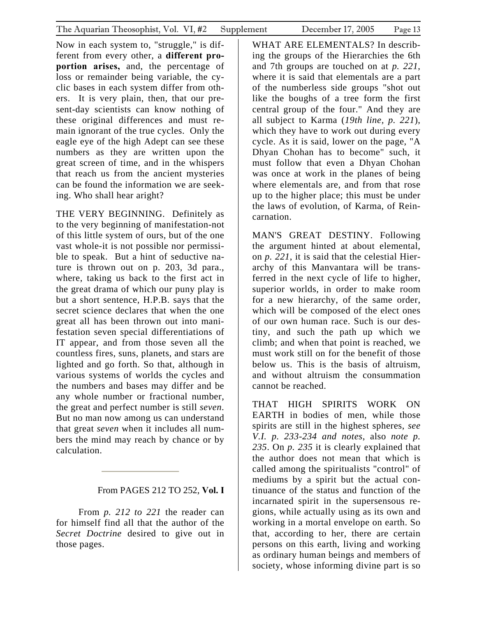Now in each system to, "struggle," is different from every other, a **different proportion arises,** and, the percentage of loss or remainder being variable, the cyclic bases in each system differ from others. It is very plain, then, that our present-day scientists can know nothing of these original differences and must remain ignorant of the true cycles. Only the eagle eye of the high Adept can see these numbers as they are written upon the great screen of time, and in the whispers that reach us from the ancient mysteries can be found the information we are seeking. Who shall hear aright?

THE VERY BEGINNING. Definitely as to the very beginning of manifestation-not of this little system of ours, but of the one vast whole-it is not possible nor permissible to speak. But a hint of seductive nature is thrown out on p. 203, 3d para., where, taking us back to the first act in the great drama of which our puny play is but a short sentence, H.P.B. says that the secret science declares that when the one great all has been thrown out into manifestation seven special differentiations of IT appear, and from those seven all the countless fires, suns, planets, and stars are lighted and go forth. So that, although in various systems of worlds the cycles and the numbers and bases may differ and be any whole number or fractional number, the great and perfect number is still *seven*. But no man now among us can understand that great *seven* when it includes all numbers the mind may reach by chance or by calculation.

From PAGES 212 TO 252, **Vol. I**

From *p. 212 to 221* the reader can for himself find all that the author of the *Secret Doctrine* desired to give out in those pages.

WHAT ARE ELEMENTALS? In describing the groups of the Hierarchies the 6th and 7th groups are touched on at *p. 221*, where it is said that elementals are a part of the numberless side groups "shot out like the boughs of a tree form the first central group of the four." And they are all subject to Karma (*19th line, p. 221*), which they have to work out during every cycle. As it is said, lower on the page, "A Dhyan Chohan has to become" such, it must follow that even a Dhyan Chohan was once at work in the planes of being where elementals are, and from that rose up to the higher place; this must be under the laws of evolution, of Karma, of Reincarnation.

MAN'S GREAT DESTINY. Following the argument hinted at about elemental, on *p. 221*, it is said that the celestial Hierarchy of this Manvantara will be transferred in the next cycle of life to higher, superior worlds, in order to make room for a new hierarchy, of the same order, which will be composed of the elect ones of our own human race. Such is our destiny, and such the path up which we climb; and when that point is reached, we must work still on for the benefit of those below us. This is the basis of altruism, and without altruism the consummation cannot be reached.

THAT HIGH SPIRITS WORK ON EARTH in bodies of men, while those spirits are still in the highest spheres, *see V.I. p. 233-234 and notes*, also *note p. 235*. On *p. 235* it is clearly explained that the author does not mean that which is called among the spiritualists "control" of mediums by a spirit but the actual continuance of the status and function of the incarnated spirit in the supersensous regions, while actually using as its own and working in a mortal envelope on earth. So that, according to her, there are certain persons on this earth, living and working as ordinary human beings and members of society, whose informing divine part is so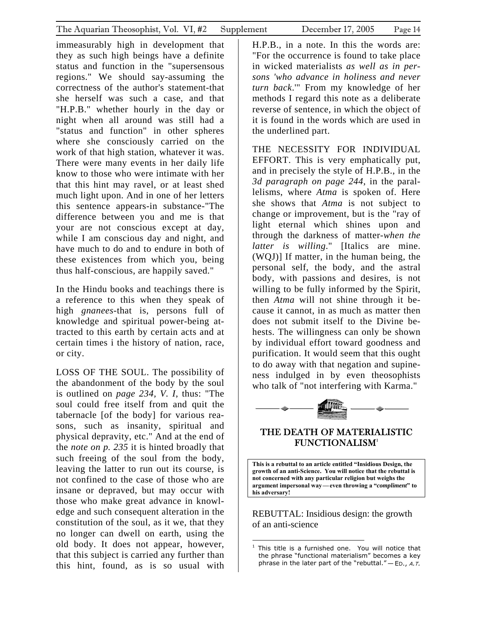<span id="page-13-0"></span>immeasurably high in development that they as such high beings have a definite status and function in the "supersensous regions." We should say-assuming the correctness of the author's statement-that she herself was such a case, and that "H.P.B." whether hourly in the day or night when all around was still had a "status and function" in other spheres where she consciously carried on the work of that high station, whatever it was. There were many events in her daily life know to those who were intimate with her that this hint may ravel, or at least shed much light upon. And in one of her letters this sentence appears-in substance-"The difference between you and me is that your are not conscious except at day, while I am conscious day and night, and have much to do and to endure in both of these existences from which you, being thus half-conscious, are happily saved."

In the Hindu books and teachings there is a reference to this when they speak of high *gnanees*-that is, persons full of knowledge and spiritual power-being attracted to this earth by certain acts and at certain times i the history of nation, race, or city.

LOSS OF THE SOUL. The possibility of the abandonment of the body by the soul is outlined on *page 234, V. I*, thus: "The soul could free itself from and quit the tabernacle [of the body] for various reasons, such as insanity, spiritual and physical depravity, etc." And at the end of the *note on p. 235* it is hinted broadly that such freeing of the soul from the body, leaving the latter to run out its course, is not confined to the case of those who are insane or depraved, but may occur with those who make great advance in knowledge and such consequent alteration in the constitution of the soul, as it we, that they no longer can dwell on earth, using the old body. It does not appear, however, that this subject is carried any further than this hint, found, as is so usual with

H.P.B., in a note. In this the words are: "For the occurrence is found to take place in wicked materialists *as well as in persons 'who advance in holiness and never turn back*.'" From my knowledge of her methods I regard this note as a deliberate reverse of sentence, in which the object of it is found in the words which are used in the underlined part.

THE NECESSITY FOR INDIVIDUAL EFFORT. This is very emphatically put, and in precisely the style of H.P.B., in the *3d paragraph on page 244*, in the parallelisms, where *Atma* is spoken of. Here she shows that *Atma* is not subject to change or improvement, but is the "ray of light eternal which shines upon and through the darkness of matter-*when the latter is willing*." [Italics are mine. (WQJ)] If matter, in the human being, the personal self, the body, and the astral body, with passions and desires, is not willing to be fully informed by the Spirit, then *Atma* will not shine through it because it cannot, in as much as matter then does not submit itself to the Divine behests. The willingness can only be shown by individual effort toward goodness and purification. It would seem that this ought to do away with that negation and supineness indulged in by even theosophists who talk of "not interfering with Karma."



#### THE DEATH OF MATERIALISTIC FUNCTIONALISM[1](#page-13-1)

**This is a rebuttal to an article entitled "Insidious Design, the growth of an anti-Science. You will notice that the rebuttal is not concerned with any particular religion but weighs the argument impersonal way—even throwing a "***compliment***" to his adversary!**

REBUTTAL: Insidious design: the growth of an anti-science

<span id="page-13-1"></span> 1 This title is a furnished one. You will notice that the phrase "functional materialism" becomes a key phrase in the later part of the "rebuttal."  $-$  ED., A.T.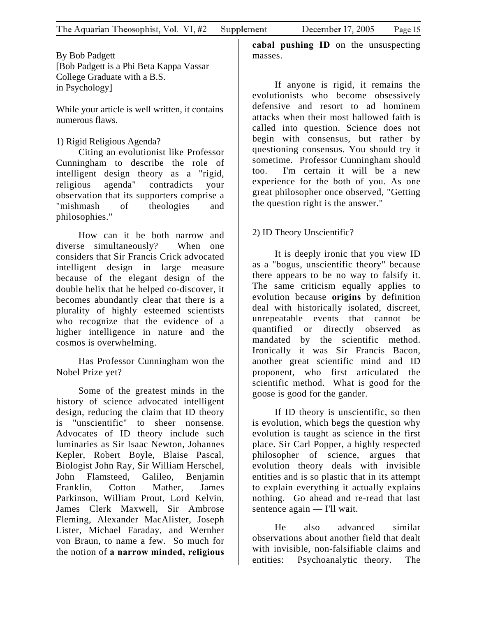By Bob Padgett [Bob Padgett is a Phi Beta Kappa Vassar College Graduate with a B.S. in Psychology]

While your article is well written, it contains numerous flaws.

#### 1) Rigid Religious Agenda?

Citing an evolutionist like Professor Cunningham to describe the role of intelligent design theory as a "rigid, religious agenda" contradicts your observation that its supporters comprise a "mishmash of theologies and philosophies."

How can it be both narrow and diverse simultaneously? When one considers that Sir Francis Crick advocated intelligent design in large measure because of the elegant design of the double helix that he helped co-discover, it becomes abundantly clear that there is a plurality of highly esteemed scientists who recognize that the evidence of a higher intelligence in nature and the cosmos is overwhelming.

Has Professor Cunningham won the Nobel Prize yet?

Some of the greatest minds in the history of science advocated intelligent design, reducing the claim that ID theory is "unscientific" to sheer nonsense. Advocates of ID theory include such luminaries as Sir Isaac Newton, Johannes Kepler, Robert Boyle, Blaise Pascal, Biologist John Ray, Sir William Herschel, John Flamsteed, Galileo, Benjamin Franklin, Cotton Mather, James Parkinson, William Prout, Lord Kelvin, James Clerk Maxwell, Sir Ambrose Fleming, Alexander MacAlister, Joseph Lister, Michael Faraday, and Wernher von Braun, to name a few. So much for the notion of **a narrow minded, religious** 

**cabal pushing ID** on the unsuspecting masses.

If anyone is rigid, it remains the evolutionists who become obsessively defensive and resort to ad hominem attacks when their most hallowed faith is called into question. Science does not begin with consensus, but rather by questioning consensus. You should try it sometime. Professor Cunningham should too. I'm certain it will be a new experience for the both of you. As one great philosopher once observed, "Getting the question right is the answer."

#### 2) ID Theory Unscientific?

It is deeply ironic that you view ID as a "bogus, unscientific theory" because there appears to be no way to falsify it. The same criticism equally applies to evolution because **origins** by definition deal with historically isolated, discreet, unrepeatable events that cannot be quantified or directly observed as mandated by the scientific method. Ironically it was Sir Francis Bacon, another great scientific mind and ID proponent, who first articulated the scientific method. What is good for the goose is good for the gander.

If ID theory is unscientific, so then is evolution, which begs the question why evolution is taught as science in the first place. Sir Carl Popper, a highly respected philosopher of science, argues that evolution theory deals with invisible entities and is so plastic that in its attempt to explain everything it actually explains nothing. Go ahead and re-read that last sentence again — I'll wait.

He also advanced similar observations about another field that dealt with invisible, non-falsifiable claims and entities: Psychoanalytic theory. The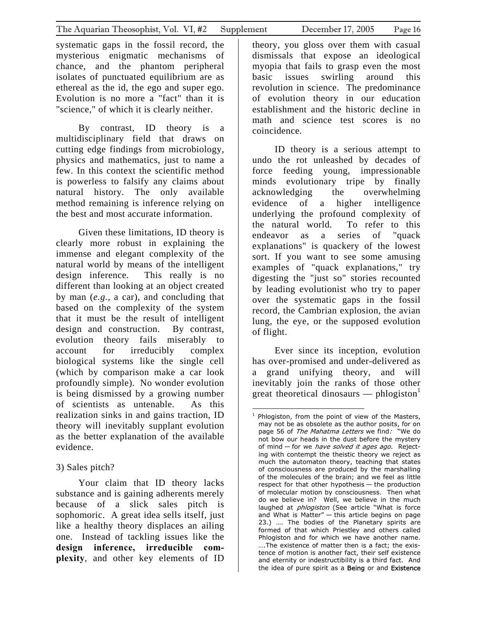mysterious enigmatic mechanisms of chance, and the phantom peripheral isolates of punctuated equilibrium are as ethereal as the id, the ego and super ego. Evolution is no more a "fact" than it is "science," of which it is clearly neither.

By contrast, ID theory is a multidisciplinary field that draws on cutting edge findings from microbiology, physics and mathematics, just to name a few. In this context the scientific method is powerless to falsify any claims about natural history. The only available method remaining is inference relying on the best and most accurate information.

Given these limitations, ID theory is clearly more robust in explaining the immense and elegant complexity of the natural world by means of the intelligent design inference. This really is no different than looking at an object created by man (*e.g.,* a car), and concluding that based on the complexity of the system that it must be the result of intelligent design and construction. By contrast, evolution theory fails miserably to account for irreducibly complex biological systems like the single cell (which by comparison make a car look profoundly simple). No wonder evolution is being dismissed by a growing number of scientists as untenable. As this realization sinks in and gains traction, ID theory will inevitably supplant evolution as the better explanation of the available evidence.

3) Sales pitch?

Your claim that ID theory lacks substance and is gaining adherents merely because of a slick sales pitch is sophomoric. A great idea sells itself, just like a healthy theory displaces an ailing one. Instead of tackling issues like the **design inference, irreducible complexity**, and other key elements of ID

theory, you gloss over them with casual dismissals that expose an ideological myopia that fails to grasp even the most basic issues swirling around this revolution in science. The predominance of evolution theory in our education establishment and the historic decline in math and science test scores is no coincidence.

ID theory is a serious attempt to undo the rot unleashed by decades of force feeding young, impressionable minds evolutionary tripe by finally acknowledging the overwhelming evidence of a higher intelligence underlying the profound complexity of the natural world. To refer to this endeavor as a series of "quack explanations" is quackery of the lowest sort. If you want to see some amusing examples of "quack explanations," try digesting the "just so" stories recounted by leading evolutionist who try to paper over the systematic gaps in the fossil record, the Cambrian explosion, the avian lung, the eye, or the supposed evolution of flight.

Ever since its inception, evolution has over-promised and under-delivered as a grand unifying theory, and will inevitably join the ranks of those other great theoretical dinosaurs — phlogiston $<sup>1</sup>$  $<sup>1</sup>$  $<sup>1</sup>$ </sup>

<span id="page-15-0"></span> 1 Phlogiston, from the point of view of the Masters, may not be as obsolete as the author posits, for on page 56 of The Mahatma Letters we find: "We do not bow our heads in the dust before the mystery of mind - for we have solved it ages ago. Rejecting with contempt the theistic theory we reject as much the automaton theory, teaching that states of consciousness are produced by the marshalling of the molecules of the brain; and we feel as little respect for that other hypothesis — the production of molecular motion by consciousness. Then what do we believe in? Well, we believe in the much laughed at *phlogiston* (See article "What is force and What is Matter" — this article begins on page 23.) …. The bodies of the Planetary spirits are formed of that which Priestley and others called Phlogiston and for which we have another name. ….The existence of matter then is a fact; the existence of motion is another fact, their self existence and eternity or indestructibility is a third fact. And the idea of pure spirit as a Being or and Existence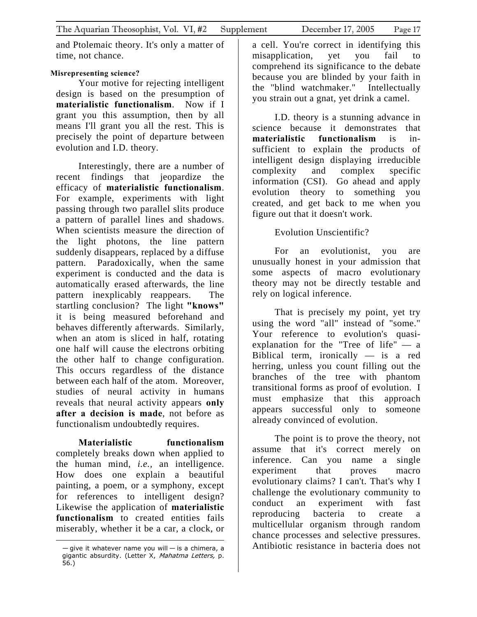and Ptolemaic theory. It's only a matter of time, not chance.

#### **Misrepresenting science?**

Your motive for rejecting intelligent design is based on the presumption of **materialistic functionalism**. Now if I grant you this assumption, then by all means I'll grant you all the rest. This is precisely the point of departure between evolution and I.D. theory.

Interestingly, there are a number of recent findings that jeopardize the efficacy of **materialistic functionalism**. For example, experiments with light passing through two parallel slits produce a pattern of parallel lines and shadows. When scientists measure the direction of the light photons, the line pattern suddenly disappears, replaced by a diffuse pattern. Paradoxically, when the same experiment is conducted and the data is automatically erased afterwards, the line pattern inexplicably reappears. The startling conclusion? The light **"knows"** it is being measured beforehand and behaves differently afterwards. Similarly, when an atom is sliced in half, rotating one half will cause the electrons orbiting the other half to change configuration. This occurs regardless of the distance between each half of the atom. Moreover, studies of neural activity in humans reveals that neural activity appears **only after a decision is made**, not before as functionalism undoubtedly requires.

**Materialistic functionalism** completely breaks down when applied to the human mind, *i.e.,* an intelligence. How does one explain a beautiful painting, a poem, or a symphony, except for references to intelligent design? Likewise the application of **materialistic functionalism** to created entities fails miserably, whether it be a car, a clock, or

 $\overline{a}$ 

a cell. You're correct in identifying this misapplication, yet you fail to comprehend its significance to the debate because you are blinded by your faith in the "blind watchmaker." Intellectually you strain out a gnat, yet drink a camel.

I.D. theory is a stunning advance in science because it demonstrates that **materialistic functionalism** is insufficient to explain the products of intelligent design displaying irreducible complexity and complex specific information (CSI). Go ahead and apply evolution theory to something you created, and get back to me when you figure out that it doesn't work.

Evolution Unscientific?

For an evolutionist, you are unusually honest in your admission that some aspects of macro evolutionary theory may not be directly testable and rely on logical inference.

That is precisely my point, yet try using the word "all" instead of "some." Your reference to evolution's quasiexplanation for the "Tree of life" — a Biblical term, ironically  $-$  is a red herring, unless you count filling out the branches of the tree with phantom transitional forms as proof of evolution. I must emphasize that this approach appears successful only to someone already convinced of evolution.

The point is to prove the theory, not assume that it's correct merely on inference. Can you name a single experiment that proves macro evolutionary claims? I can't. That's why I challenge the evolutionary community to conduct an experiment with fast reproducing bacteria to create a multicellular organism through random chance processes and selective pressures. Antibiotic resistance in bacteria does not

<sup>—</sup> give it whatever name you will — is a chimera, a gigantic absurdity. (Letter X, Mahatma Letters, p. 56.)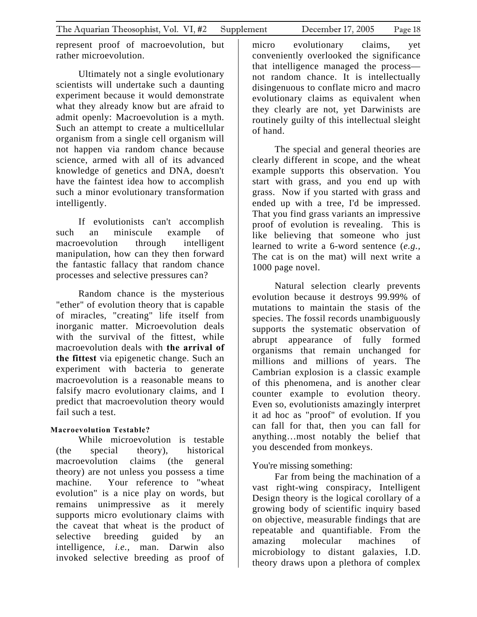represent proof of macroevolution, but rather microevolution.

Ultimately not a single evolutionary scientists will undertake such a daunting experiment because it would demonstrate what they already know but are afraid to admit openly: Macroevolution is a myth. Such an attempt to create a multicellular organism from a single cell organism will not happen via random chance because science, armed with all of its advanced knowledge of genetics and DNA, doesn't have the faintest idea how to accomplish such a minor evolutionary transformation intelligently.

If evolutionists can't accomplish such an miniscule example of macroevolution through intelligent manipulation, how can they then forward the fantastic fallacy that random chance processes and selective pressures can?

Random chance is the mysterious "ether" of evolution theory that is capable of miracles, "creating" life itself from inorganic matter. Microevolution deals with the survival of the fittest, while macroevolution deals with **the arrival of the fittest** via epigenetic change. Such an experiment with bacteria to generate macroevolution is a reasonable means to falsify macro evolutionary claims, and I predict that macroevolution theory would fail such a test.

#### **Macroevolution Testable?**

While microevolution is testable (the special theory), historical macroevolution claims (the general theory) are not unless you possess a time machine. Your reference to "wheat evolution" is a nice play on words, but remains unimpressive as it merely supports micro evolutionary claims with the caveat that wheat is the product of selective breeding guided by an intelligence, *i.e.,* man. Darwin also invoked selective breeding as proof of

micro evolutionary claims, yet conveniently overlooked the significance that intelligence managed the process not random chance. It is intellectually disingenuous to conflate micro and macro evolutionary claims as equivalent when they clearly are not, yet Darwinists are routinely guilty of this intellectual sleight of hand.

The special and general theories are clearly different in scope, and the wheat example supports this observation. You start with grass, and you end up with grass. Now if you started with grass and ended up with a tree, I'd be impressed. That you find grass variants an impressive proof of evolution is revealing. This is like believing that someone who just learned to write a 6-word sentence (*e.g.,* The cat is on the mat) will next write a 1000 page novel.

Natural selection clearly prevents evolution because it destroys 99.99% of mutations to maintain the stasis of the species. The fossil records unambiguously supports the systematic observation of abrupt appearance of fully formed organisms that remain unchanged for millions and millions of years. The Cambrian explosion is a classic example of this phenomena, and is another clear counter example to evolution theory. Even so, evolutionists amazingly interpret it ad hoc as "proof" of evolution. If you can fall for that, then you can fall for anything…most notably the belief that you descended from monkeys.

You're missing something:

Far from being the machination of a vast right-wing conspiracy, Intelligent Design theory is the logical corollary of a growing body of scientific inquiry based on objective, measurable findings that are repeatable and quantifiable. From the amazing molecular machines of microbiology to distant galaxies, I.D. theory draws upon a plethora of complex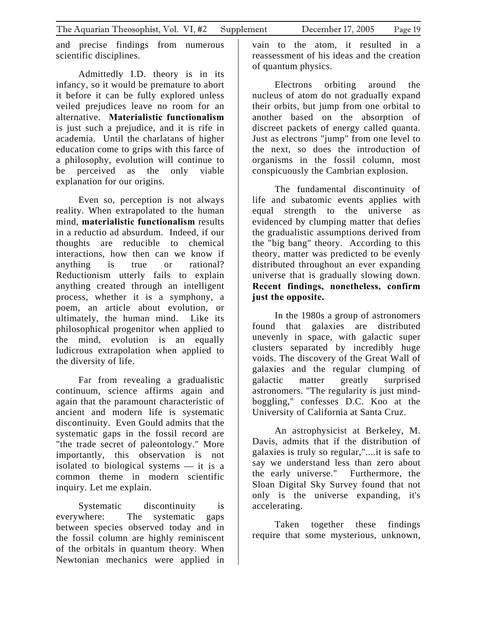and precise findings from numerous scientific disciplines.

Admittedly I.D. theory is in its infancy, so it would be premature to abort it before it can be fully explored unless veiled prejudices leave no room for an alternative. **Materialistic functionalism** is just such a prejudice, and it is rife in academia. Until the charlatans of higher education come to grips with this farce of a philosophy, evolution will continue to be perceived as the only viable explanation for our origins.

Even so, perception is not always reality. When extrapolated to the human mind, **materialistic functionalism** results in a reductio ad absurdum. Indeed, if our thoughts are reducible to chemical interactions, how then can we know if anything is true or rational? Reductionism utterly fails to explain anything created through an intelligent process, whether it is a symphony, a poem, an article about evolution, or ultimately, the human mind. Like its philosophical progenitor when applied to the mind, evolution is an equally ludicrous extrapolation when applied to the diversity of life.

Far from revealing a gradualistic continuum, science affirms again and again that the paramount characteristic of ancient and modern life is systematic discontinuity. Even Gould admits that the systematic gaps in the fossil record are "the trade secret of paleontology." More importantly, this observation is not isolated to biological systems — it is a common theme in modern scientific inquiry. Let me explain.

Systematic discontinuity is everywhere: The systematic gaps between species observed today and in the fossil column are highly reminiscent of the orbitals in quantum theory. When Newtonian mechanics were applied in vain to the atom, it resulted in a reassessment of his ideas and the creation of quantum physics.

Electrons orbiting around the nucleus of atom do not gradually expand their orbits, but jump from one orbital to another based on the absorption of discreet packets of energy called quanta. Just as electrons "jump" from one level to the next, so does the introduction of organisms in the fossil column, most conspicuously the Cambrian explosion.

The fundamental discontinuity of life and subatomic events applies with equal strength to the universe as evidenced by clumping matter that defies the gradualistic assumptions derived from the "big bang" theory. According to this theory, matter was predicted to be evenly distributed throughout an ever expanding universe that is gradually slowing down. **Recent findings, nonetheless, confirm just the opposite.**

In the 1980s a group of astronomers found that galaxies are distributed unevenly in space, with galactic super clusters separated by incredibly huge voids. The discovery of the Great Wall of galaxies and the regular clumping of galactic matter greatly surprised astronomers. "The regularity is just mindboggling," confesses D.C. Koo at the University of California at Santa Cruz.

An astrophysicist at Berkeley, M. Davis, admits that if the distribution of galaxies is truly so regular,"....it is safe to say we understand less than zero about the early universe." Furthermore, the Sloan Digital Sky Survey found that not only is the universe expanding, it's accelerating.

Taken together these findings require that some mysterious, unknown,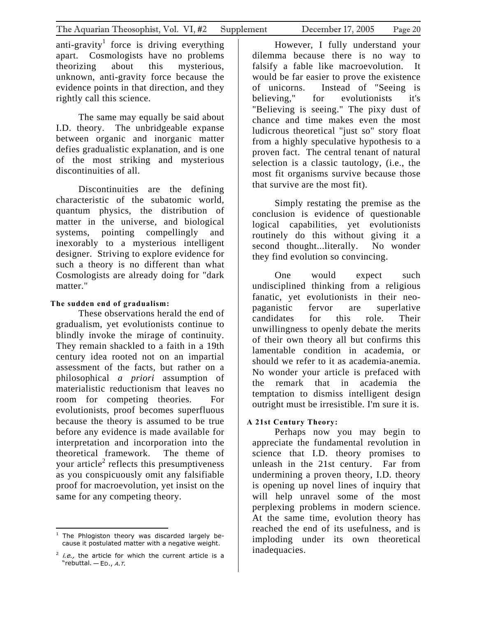anti-gravity<sup>[1](#page-19-0)</sup> force is driving everything apart. Cosmologists have no problems theorizing about this mysterious, unknown, anti-gravity force because the evidence points in that direction, and they rightly call this science.

The same may equally be said about I.D. theory. The unbridgeable expanse between organic and inorganic matter defies gradualistic explanation, and is one of the most striking and mysterious discontinuities of all.

Discontinuities are the defining characteristic of the subatomic world, quantum physics, the distribution of matter in the universe, and biological systems, pointing compellingly and inexorably to a mysterious intelligent designer. Striving to explore evidence for such a theory is no different than what Cosmologists are already doing for "dark matter."

#### **The sudden end of gradualism:**

These observations herald the end of gradualism, yet evolutionists continue to blindly invoke the mirage of continuity. They remain shackled to a faith in a 19th century idea rooted not on an impartial assessment of the facts, but rather on a philosophical *a priori* assumption of materialistic reductionism that leaves no room for competing theories. For evolutionists, proof becomes superfluous because the theory is assumed to be true before any evidence is made available for interpretation and incorporation into the theoretical framework. The theme of your article<sup>[2](#page-19-1)</sup> reflects this presumptiveness as you conspicuously omit any falsifiable proof for macroevolution, yet insist on the same for any competing theory.

However, I fully understand your dilemma because there is no way to falsify a fable like macroevolution. It would be far easier to prove the existence of unicorns. Instead of "Seeing is believing," for evolutionists it's "Believing is seeing." The pixy dust of chance and time makes even the most ludicrous theoretical "just so" story float from a highly speculative hypothesis to a proven fact. The central tenant of natural selection is a classic tautology, (i.e., the most fit organisms survive because those that survive are the most fit).

Simply restating the premise as the conclusion is evidence of questionable logical capabilities, yet evolutionists routinely do this without giving it a second thought...literally. No wonder they find evolution so convincing.

One would expect such undisciplined thinking from a religious fanatic, yet evolutionists in their neopaganistic fervor are superlative candidates for this role. Their unwillingness to openly debate the merits of their own theory all but confirms this lamentable condition in academia, or should we refer to it as academia-anemia. No wonder your article is prefaced with the remark that in academia the temptation to dismiss intelligent design outright must be irresistible. I'm sure it is.

#### **A 21st Century Theory:**

Perhaps now you may begin to appreciate the fundamental revolution in science that I.D. theory promises to unleash in the 21st century. Far from undermining a proven theory, I.D. theory is opening up novel lines of inquiry that will help unravel some of the most perplexing problems in modern science. At the same time, evolution theory has reached the end of its usefulness, and is imploding under its own theoretical inadequacies.

<span id="page-19-0"></span> 1 The Phlogiston theory was discarded largely because it postulated matter with a negative weight.

<span id="page-19-1"></span> $2$  *i.e.*, the article for which the current article is a "rebuttal.  $-$  ED., A.T.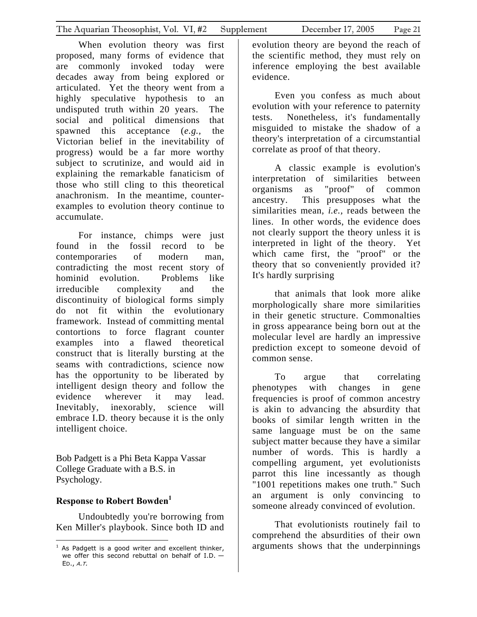When evolution theory was first proposed, many forms of evidence that are commonly invoked today were decades away from being explored or articulated. Yet the theory went from a highly speculative hypothesis to an undisputed truth within 20 years. The social and political dimensions that spawned this acceptance (*e.g.,* the Victorian belief in the inevitability of progress) would be a far more worthy subject to scrutinize, and would aid in explaining the remarkable fanaticism of those who still cling to this theoretical anachronism. In the meantime, counterexamples to evolution theory continue to accumulate.

For instance, chimps were just found in the fossil record to be contemporaries of modern man, contradicting the most recent story of hominid evolution. Problems like irreducible complexity and the discontinuity of biological forms simply do not fit within the evolutionary framework. Instead of committing mental contortions to force flagrant counter examples into a flawed theoretical construct that is literally bursting at the seams with contradictions, science now has the opportunity to be liberated by intelligent design theory and follow the evidence wherever it may lead. Inevitably, inexorably, science will embrace I.D. theory because it is the only intelligent choice.

Bob Padgett is a Phi Beta Kappa Vassar College Graduate with a B.S. in Psychology.

#### **Response to Robert Bowden[1](#page-20-0)**

Undoubtedly you're borrowing from Ken Miller's playbook. Since both ID and evolution theory are beyond the reach of the scientific method, they must rely on inference employing the best available evidence.

Even you confess as much about evolution with your reference to paternity tests. Nonetheless, it's fundamentally misguided to mistake the shadow of a theory's interpretation of a circumstantial correlate as proof of that theory.

A classic example is evolution's interpretation of similarities between organisms as "proof" of common ancestry. This presupposes what the similarities mean, *i.e.,* reads between the lines. In other words, the evidence does not clearly support the theory unless it is interpreted in light of the theory. Yet which came first, the "proof" or the theory that so conveniently provided it? It's hardly surprising

that animals that look more alike morphologically share more similarities in their genetic structure. Commonalties in gross appearance being born out at the molecular level are hardly an impressive prediction except to someone devoid of common sense.

To argue that correlating phenotypes with changes in gene frequencies is proof of common ancestry is akin to advancing the absurdity that books of similar length written in the same language must be on the same subject matter because they have a similar number of words. This is hardly a compelling argument, yet evolutionists parrot this line incessantly as though "1001 repetitions makes one truth." Such an argument is only convincing to someone already convinced of evolution.

That evolutionists routinely fail to comprehend the absurdities of their own arguments shows that the underpinnings

<span id="page-20-0"></span> 1 As Padgett is a good writer and excellent thinker, we offer this second rebuttal on behalf of I.D. — ED., <sup>A</sup>.T.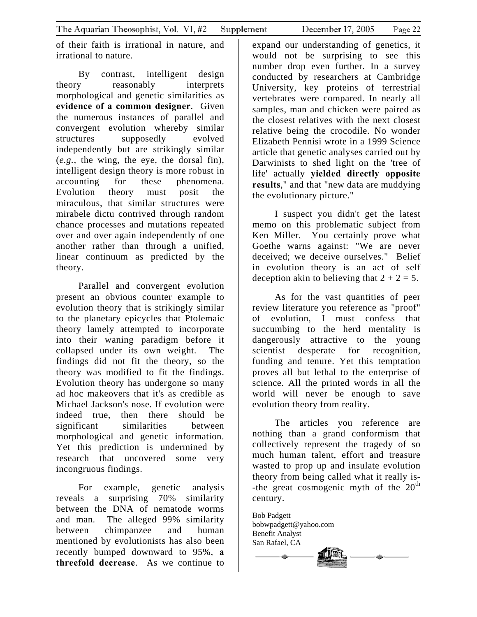of their faith is irrational in nature, and irrational to nature.

By contrast, intelligent design theory reasonably interprets morphological and genetic similarities as **evidence of a common designer**. Given the numerous instances of parallel and convergent evolution whereby similar structures supposedly evolved independently but are strikingly similar (*e.g.,* the wing, the eye, the dorsal fin), intelligent design theory is more robust in accounting for these phenomena. Evolution theory must posit the miraculous, that similar structures were mirabele dictu contrived through random chance processes and mutations repeated over and over again independently of one another rather than through a unified, linear continuum as predicted by the theory.

Parallel and convergent evolution present an obvious counter example to evolution theory that is strikingly similar to the planetary epicycles that Ptolemaic theory lamely attempted to incorporate into their waning paradigm before it collapsed under its own weight. The findings did not fit the theory, so the theory was modified to fit the findings. Evolution theory has undergone so many ad hoc makeovers that it's as credible as Michael Jackson's nose. If evolution were indeed true, then there should be significant similarities between morphological and genetic information. Yet this prediction is undermined by research that uncovered some very incongruous findings.

For example, genetic analysis reveals a surprising 70% similarity between the DNA of nematode worms and man. The alleged 99% similarity between chimpanzee and human mentioned by evolutionists has also been recently bumped downward to 95%, **a threefold decrease**. As we continue to

expand our understanding of genetics, it would not be surprising to see this number drop even further. In a survey conducted by researchers at Cambridge University, key proteins of terrestrial vertebrates were compared. In nearly all samples, man and chicken were paired as the closest relatives with the next closest relative being the crocodile. No wonder Elizabeth Pennisi wrote in a 1999 Science article that genetic analyses carried out by Darwinists to shed light on the 'tree of life' actually **yielded directly opposite results**," and that "new data are muddying the evolutionary picture."

I suspect you didn't get the latest memo on this problematic subject from Ken Miller. You certainly prove what Goethe warns against: "We are never deceived; we deceive ourselves." Belief in evolution theory is an act of self deception akin to believing that  $2 + 2 = 5$ .

As for the vast quantities of peer review literature you reference as "proof" of evolution, I must confess that succumbing to the herd mentality is dangerously attractive to the young scientist desperate for recognition, funding and tenure. Yet this temptation proves all but lethal to the enterprise of science. All the printed words in all the world will never be enough to save evolution theory from reality.

The articles you reference are nothing than a grand conformism that collectively represent the tragedy of so much human talent, effort and treasure wasted to prop up and insulate evolution theory from being called what it really is- -the great cosmogenic myth of the  $20<sup>th</sup>$ century.

Bob Padgett bobwpadgett@yahoo.com Benefit Analyst San Rafael, CAz.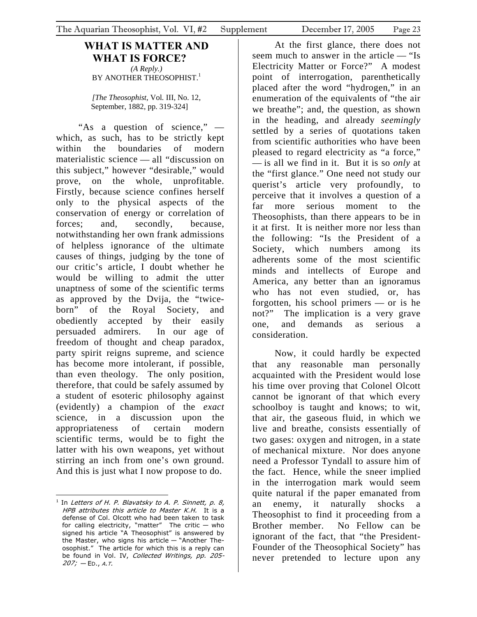### <span id="page-22-0"></span>**WHAT IS MATTER AND WHAT IS FORCE?**

*(A Reply.)* BY ANOTHER THEOSOPHIST.<sup>[1](#page-22-1)</sup>

*[The Theosophist*, Vol*.* III, No. 12, September, 1882, pp. 319-324]

"As a question of science," which, as such, has to be strictly kept within the boundaries of modern materialistic science — all "discussion on this subject," however "desirable," would prove, on the whole, unprofitable. Firstly, because science confines herself only to the physical aspects of the conservation of energy or correlation of forces; and, secondly, because, notwithstanding her own frank admissions of helpless ignorance of the ultimate causes of things, judging by the tone of our critic's article, I doubt whether he would be willing to admit the utter unaptness of some of the scientific terms as approved by the Dvija, the "twiceborn" of the Royal Society, and obediently accepted by their easily persuaded admirers. In our age of freedom of thought and cheap paradox, party spirit reigns supreme, and science has become more intolerant, if possible, than even theology. The only position, therefore, that could be safely assumed by a student of esoteric philosophy against (evidently) a champion of the *exact* science, in a discussion upon the appropriateness of certain modern scientific terms, would be to fight the latter with his own weapons, yet without stirring an inch from one's own ground. And this is just what I now propose to do.

At the first glance, there does not seem much to answer in the article — "Is Electricity Matter or Force?" A modest point of interrogation, parenthetically placed after the word "hydrogen," in an enumeration of the equivalents of "the air we breathe"; and, the question, as shown in the heading, and already *seemingly* settled by a series of quotations taken from scientific authorities who have been pleased to regard electricity as "a force," — is all we find in it. But it is so *only* at the "first glance." One need not study our querist's article very profoundly, to perceive that it involves a question of a far more serious moment to the Theosophists, than there appears to be in it at first. It is neither more nor less than the following: "Is the President of a Society, which numbers among its adherents some of the most scientific minds and intellects of Europe and America, any better than an ignoramus who has not even studied, or, has forgotten, his school primers — or is he not?" The implication is a very grave one, and demands as serious a consideration.

Now, it could hardly be expected that any reasonable man personally acquainted with the President would lose his time over proving that Colonel Olcott cannot be ignorant of that which every schoolboy is taught and knows; to wit, that air, the gaseous fluid, in which we live and breathe, consists essentially of two gases: oxygen and nitrogen, in a state of mechanical mixture. Nor does anyone need a Professor Tyndall to assure him of the fact. Hence, while the sneer implied in the interrogation mark would seem quite natural if the paper emanated from an enemy, it naturally shocks Theosophist to find it proceeding from a Brother member. No Fellow can be ignorant of the fact, that "the President-Founder of the Theosophical Society" has never pretended to lecture upon any

<span id="page-22-1"></span> $\overline{a}$  $1$  In Letters of H. P. Blavatsky to A. P. Sinnett, p. 8, HPB attributes this article to Master K.H. It is a defense of Col. Olcott who had been taken to task for calling electricity, "matter" The critic — who signed his article "A Theosophist" is answered by the Master, who signs his article — "Another Theosophist." The article for which this is a reply can be found in Vol. IV, Collected Writings, pp. 205- $207$ ; - ED., A.T.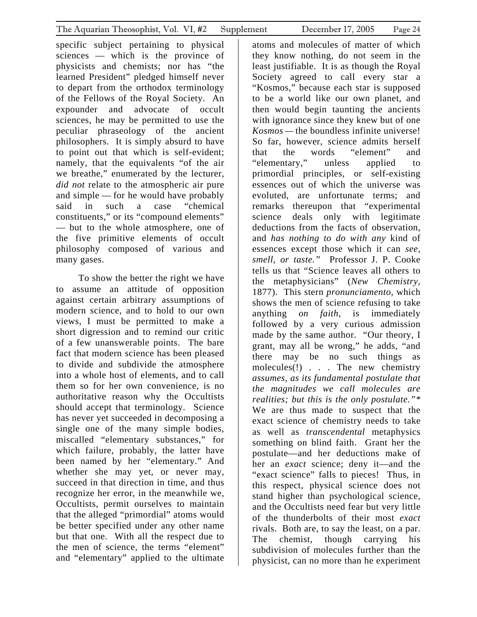specific subject pertaining to physical sciences — which is the province of physicists and chemists; nor has "the learned President" pledged himself never to depart from the orthodox terminology of the Fellows of the Royal Society. An expounder and advocate of occult sciences, he may be permitted to use the peculiar phraseology of the ancient philosophers. It is simply absurd to have to point out that which is self-evident; namely, that the equivalents "of the air we breathe," enumerated by the lecturer, *did not* relate to the atmospheric air pure and simple — for he would have probably said in such a case "chemical constituents," or its "compound elements" — but to the whole atmosphere, one of the five primitive elements of occult philosophy composed of various and many gases.

To show the better the right we have to assume an attitude of opposition against certain arbitrary assumptions of modern science, and to hold to our own views, I must be permitted to make a short digression and to remind our critic of a few unanswerable points. The bare fact that modern science has been pleased to divide and subdivide the atmosphere into a whole host of elements, and to call them so for her own convenience, is no authoritative reason why the Occultists should accept that terminology. Science has never yet succeeded in decomposing a single one of the many simple bodies, miscalled "elementary substances," for which failure, probably, the latter have been named by her "elementary." And whether she may yet, or never may, succeed in that direction in time, and thus recognize her error, in the meanwhile we, Occultists, permit ourselves to maintain that the alleged "primordial" atoms would be better specified under any other name but that one. With all the respect due to the men of science, the terms "element" and "elementary" applied to the ultimate

atoms and molecules of matter of which they know nothing, do not seem in the least justifiable. It is as though the Royal Society agreed to call every star a "Kosmos," because each star is supposed to be a world like our own planet, and then would begin taunting the ancients with ignorance since they knew but of one *Kosmos —* the boundless infinite universe! So far, however, science admits herself that the words "element" and "elementary," unless applied to primordial principles, or self-existing essences out of which the universe was evoluted, are unfortunate terms; and remarks thereupon that "experimental science deals only with legitimate deductions from the facts of observation, and *has nothing to do with any* kind of essences except those which it can *see, smell, or taste."* Professor J. P. Cooke tells us that "Science leaves all others to the metaphysicians" (*New Chemistry,*  1877). This stern *pronunciamento,* which shows the men of science refusing to take anything *on faith,* is immediately followed by a very curious admission

made by the same author. "Our theory, I grant, may all be wrong," he adds, "and there may be no such things as molecules(!) . . . The new chemistry *assumes, as its fundamental postulate that the magnitudes we call molecules are realities; but this is the only postulate."\**  We are thus made to suspect that the exact science of chemistry needs to take as well as *transcendental* metaphysics something on blind faith. Grant her the postulate—and her deductions make of her an *exact* science; deny it—and the "exact science" falls to pieces! Thus, in this respect, physical science does not stand higher than psychological science, and the Occultists need fear but very little of the thunderbolts of their most *exact*  rivals. Both are, to say the least, on a par. The chemist, though carrying his subdivision of molecules further than the physicist, can no more than he experiment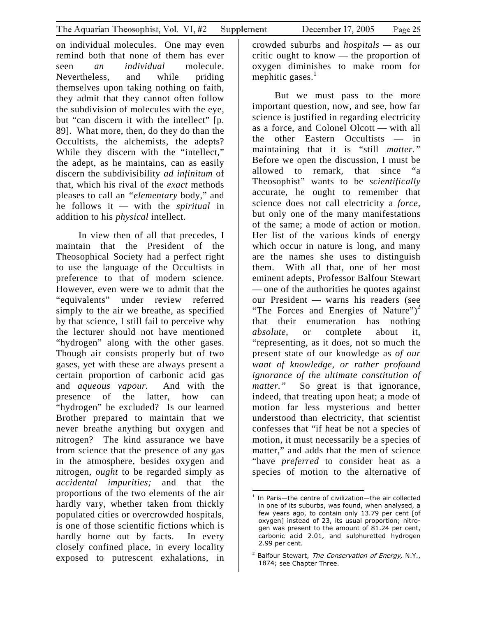on individual molecules. One may even remind both that none of them has ever seen *an individual* molecule. Nevertheless, and while priding themselves upon taking nothing on faith, they admit that they cannot often follow the subdivision of molecules with the eye, but "can discern it with the intellect" [p. 89]. What more, then, do they do than the Occultists, the alchemists, the adepts? While they discern with the "intellect," the adept, as he maintains, can as easily discern the subdivisibility *ad infinitum* of that, which his rival of the *exact* methods pleases to call an *"elementary* body," and he follows it — with the *spiritual* in addition to his *physical* intellect.

In view then of all that precedes, I maintain that the President of the Theosophical Society had a perfect right to use the language of the Occultists in preference to that of modern science. However, even were we to admit that the "equivalents" under review referred simply to the air we breathe, as specified by that science, I still fail to perceive why the lecturer should not have mentioned "hydrogen" along with the other gases. Though air consists properly but of two gases, yet with these are always present a certain proportion of carbonic acid gas and *aqueous vapour.* And with the presence of the latter, how can "hydrogen" be excluded? Is our learned Brother prepared to maintain that we never breathe anything but oxygen and nitrogen? The kind assurance we have from science that the presence of any gas in the atmosphere, besides oxygen and nitrogen, *ought* to be regarded simply as *accidental impurities;* and that the proportions of the two elements of the air hardly vary, whether taken from thickly populated cities or overcrowded hospitals, is one of those scientific fictions which is hardly borne out by facts. In every closely confined place, in every locality exposed to putrescent exhalations, in

crowded suburbs and *hospitals —* as our critic ought to know — the proportion of oxygen diminishes to make room for mephitic gases. $<sup>1</sup>$  $<sup>1</sup>$  $<sup>1</sup>$ </sup>

But we must pass to the more important question, now, and see, how far science is justified in regarding electricity as a force, and Colonel Olcott — with all the other Eastern Occultists — in maintaining that it is "still *matter."*  Before we open the discussion, I must be allowed to remark, that since "a Theosophist" wants to be *scientifically*  accurate, he ought to remember that science does not call electricity a *force,*  but only one of the many manifestations of the same; a mode of action or motion. Her list of the various kinds of energy which occur in nature is long, and many are the names she uses to distinguish them. With all that, one of her most eminent adepts, Professor Balfour Stewart — one of the authorities he quotes against our President — warns his readers (see "The Forces and Energies of Nature" $)^2$  $)^2$ that their enumeration has nothing *absolute,* or complete about it, "representing, as it does, not so much the present state of our knowledge as *of our want of knowledge, or rather profound ignorance of the ultimate constitution of matter.*" So great is that ignorance, indeed, that treating upon heat; a mode of motion far less mysterious and better understood than electricity, that scientist confesses that "if heat be not a species of motion, it must necessarily be a species of matter," and adds that the men of science "have *preferred* to consider heat as a species of motion to the alternative of

<span id="page-24-0"></span><sup>&</sup>lt;u>.</u> <sup>1</sup> In Paris—the centre of civilization—the air collected in one of its suburbs, was found, when analysed, a few years ago, to contain only 13.79 per cent [of oxygen] instead of 23, its usual proportion; nitrogen was present to the amount of 81.24 per cent, carbonic acid 2.01, and sulphuretted hydrogen 2.99 per cent.

<span id="page-24-1"></span><sup>&</sup>lt;sup>2</sup> Balfour Stewart, The Conservation of Energy, N.Y., 1874; see Chapter Three.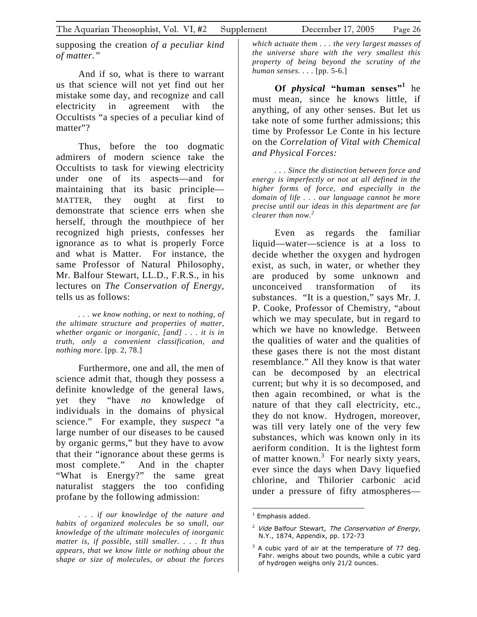supposing the creation *of a peculiar kind of matter."*

And if so, what is there to warrant us that science will not yet find out her mistake some day, and recognize and call electricity in agreement with the Occultists "a species of a peculiar kind of matter"?

Thus, before the too dogmatic admirers of modern science take the Occultists to task for viewing electricity under one of its aspects—and for maintaining that its basic principle— MATTER, they ought at first to demonstrate that science errs when she herself, through the mouthpiece of her recognized high priests, confesses her ignorance as to what is properly Force and what is Matter. For instance, the same Professor of Natural Philosophy, Mr. Balfour Stewart, LL.D., F.R.S., in his lectures on *The Conservation of Energy,*  tells us as follows:

*. . . we know nothing, or next to nothing, of the ultimate structure and properties of matter, whether organic or inorganic, [and] . . . it is in truth, only a convenient classification, and nothing more.* [pp. 2, 78.]

Furthermore, one and all, the men of science admit that, though they possess a definite knowledge of the general laws, yet they "have *no* knowledge of individuals in the domains of physical science." For example, they *suspect* "a large number of our diseases to be caused by organic germs," but they have to avow that their "ignorance about these germs is most complete." And in the chapter "What is Energy?" the same great naturalist staggers the too confiding profane by the following admission:

*. . . if our knowledge of the nature and habits of organized molecules be so small, our knowledge of the ultimate molecules of inorganic matter is, if possible, still smaller. . . . It thus appears, that we know little or nothing about the shape or size of molecules, or about the forces* 

*which actuate them . . . the very largest masses of the universe share with the very smallest this property of being beyond the scrutiny of the human senses. . . .* [pp. 5-6.]

**Of** *physical* **"human senses"[1](#page-25-0)** he must mean, since he knows little, if anything, of any other senses. But let us take note of some further admissions; this time by Professor Le Conte in his lecture on the *Correlation of Vital with Chemical and Physical Forces:* 

*. . . Since the distinction between force and energy is imperfectly or not at all defined in the higher forms of force, and especially in the domain of life . . . our language cannot be more precise until our ideas in this department are far clearer than now.[2](#page-25-1)*

Even as regards the familiar liquid—water—science is at a loss to decide whether the oxygen and hydrogen exist, as such, in water, or whether they are produced by some unknown and unconceived transformation of its substances. "It is a question," says Mr. J. P. Cooke, Professor of Chemistry, "about which we may speculate, but in regard to which we have no knowledge. Between the qualities of water and the qualities of these gases there is not the most distant resemblance." All they know is that water can be decomposed by an electrical current; but why it is so decomposed, and then again recombined, or what is the nature of that they call electricity, etc., they do not know. Hydrogen, moreover, was till very lately one of the very few substances, which was known only in its aeriform condition. It is the lightest form of matter known.<sup>[3](#page-25-2)</sup> For nearly sixty years, ever since the days when Davy liquefied chlorine, and Thilorier carbonic acid under a pressure of fifty atmospheres—

<span id="page-25-0"></span><sup>&</sup>lt;u>Liconalise and the sense of the sense of the sense of the sense of the sense of the sense of the sense of the s</u><br>In Emphasis added.

<span id="page-25-1"></span><sup>&</sup>lt;sup>2</sup> Vide Balfour Stewart, The Conservation of Energy, N.Y., 1874, Appendix, pp. 172-73

<span id="page-25-2"></span> $3$  A cubic yard of air at the temperature of 77 deg. Fahr. weighs about two pounds, while a cubic yard of hydrogen weighs only 21/2 ounces.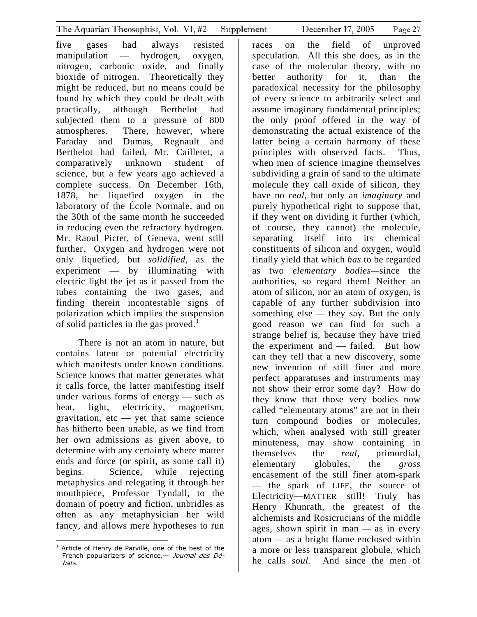five gases had always resisted manipulation — hydrogen, oxygen, nitrogen, carbonic oxide, and finally bioxide of nitrogen. Theoretically they might be reduced, but no means could be found by which they could be dealt with practically, although Berthelot had subjected them to a pressure of 800 atmospheres. There, however, where Faraday and Dumas, Regnault and Berthelot had failed, Mr. Cailletet, a comparatively unknown student of science, but a few years ago achieved a complete success. On December 16th, 1878, he liquefied oxygen in the laboratory of the École Normale, and on the 30th of the same month he succeeded in reducing even the refractory hydrogen. Mr. Raoul Pictet, of Geneva, went still further. Oxygen and hydrogen were not only liquefied, but *solidified,* as the experiment — by illuminating with electric light the jet as it passed from the tubes containing the two gases, and finding therein incontestable signs of polarization which implies the suspension of solid particles in the gas proved.<sup>[1](#page-26-0)</sup>

There is not an atom in nature, but contains latent or potential electricity which manifests under known conditions. Science knows that matter generates what it calls force, the latter manifesting itself under various forms of energy — such as heat, light, electricity, magnetism, gravitation,  $etc - yet$  that same science has hitherto been unable, as we find from her own admissions as given above, to determine with any certainty where matter ends and force (or spirit, as some call it) begins. Science, while rejecting metaphysics and relegating it through her mouthpiece, Professor Tyndall, to the domain of poetry and fiction, unbridles as often as any metaphysician her wild fancy, and allows mere hypotheses to run

races on the field of unproved speculation. All this she does, as in the case of the molecular theory, with no better authority for it, than the paradoxical necessity for the philosophy of every science to arbitrarily select and assume imaginary fundamental principles; the only proof offered in the way of demonstrating the actual existence of the latter being a certain harmony of these principles with observed facts. Thus, when men of science imagine themselves subdividing a grain of sand to the ultimate molecule they call oxide of silicon, they have no *real,* but only an *imaginary* and purely hypothetical right to suppose that, if they went on dividing it further (which, of course, they cannot) the molecule, separating itself into its chemical constituents of silicon and oxygen, would finally yield that which *has* to be regarded as two *elementary bodies—*since the authorities, so regard them! Neither an atom of silicon, nor an atom of oxygen, is capable of any further subdivision into something else — they say. But the only good reason we can find for such a strange belief is, because they have tried the experiment and — failed. But how can they tell that a new discovery, some new invention of still finer and more perfect apparatuses and instruments may not show their error some day? How do they know that those very bodies now called "elementary atoms" are not in their turn compound bodies or molecules, which, when analysed with still greater minuteness, may show containing in themselves the *real,* primordial, elementary globules, the *gross*  encasement of the still finer atom-spark — the spark of LIFE, the source of Electricity—MATTER still! Truly has Henry Khunrath, the greatest of the alchemists and Rosicrucians of the middle ages, shown spirit in man — as in every atom — as a bright flame enclosed within a more or less transparent globule, which he calls *soul.* And since the men of

<span id="page-26-0"></span> 1 Article of Henry de Parville, one of the best of the French popularizers of science. - Journal des Débats.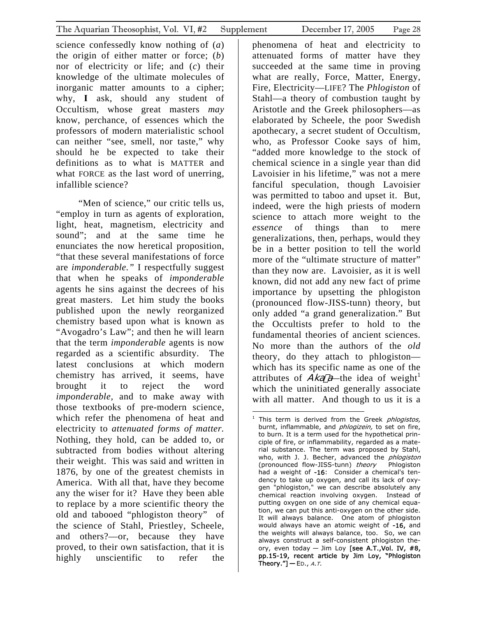science confessedly know nothing of (*a*) the origin of either matter or force; (*b*) nor of electricity or life; and (*c*) their knowledge of the ultimate molecules of inorganic matter amounts to a cipher; why, **I** ask, should any student of Occultism, whose great masters *may*  know, perchance, of essences which the professors of modern materialistic school can neither "see, smell, nor taste," why should he be expected to take their definitions as to what is MATTER and what FORCE as the last word of unerring, infallible science?

"Men of science," our critic tells us, "employ in turn as agents of exploration, light, heat, magnetism, electricity and sound"; and at the same time he enunciates the now heretical proposition, "that these several manifestations of force are *imponderable."* I respectfully suggest that when he speaks of *imponderable*  agents he sins against the decrees of his great masters. Let him study the books published upon the newly reorganized chemistry based upon what is known as "Avogadro's Law"; and then he will learn that the term *imponderable* agents is now regarded as a scientific absurdity. The latest conclusions at which modern chemistry has arrived, it seems, have brought it to reject the word *imponderable,* and to make away with those textbooks of pre-modern science, which refer the phenomena of heat and electricity to *attenuated forms of matter.*  Nothing, they hold, can be added to, or subtracted from bodies without altering their weight. This was said and written in 1876, by one of the greatest chemists in America. With all that, have they become any the wiser for it? Have they been able to replace by a more scientific theory the old and tabooed "phlogiston theory" of the science of Stahl, Priestley, Scheele, and others?—or, because they have proved, to their own satisfaction, that it is highly unscientific to refer the

phenomena of heat and electricity to attenuated forms of matter have they succeeded at the same time in proving what are really, Force, Matter, Energy, Fire, Electricity—LIFE? The *Phlogiston* of Stahl—a theory of combustion taught by Aristotle and the Greek philosophers—as elaborated by Scheele, the poor Swedish apothecary, a secret student of Occultism, who, as Professor Cooke says of him, "added more knowledge to the stock of chemical science in a single year than did Lavoisier in his lifetime," was not a mere fanciful speculation, though Lavoisier was permitted to taboo and upset it. But, indeed, were the high priests of modern science to attach more weight to the *essence* of things than to mere generalizations, then, perhaps, would they be in a better position to tell the world more of the "ultimate structure of matter" than they now are. Lavoisier, as it is well known, did not add any new fact of prime importance by upsetting the phlogiston (pronounced flow-JISS-tunn) theory, but only added "a grand generalization." But the Occultists prefer to hold to the fundamental theories of ancient sciences. No more than the authors of the *old*  theory, do they attach to phlogiston—

which has its specific name as one of the attributes of *Aka a*—the idea of weight<sup>[1](#page-27-0)</sup> which the uninitiated generally associate with all matter. And though to us it is a

1

<span id="page-27-0"></span><sup>1</sup> This term is derived from the Greek *phlogistos*, burnt, inflammable, and *phlogizein*, to set on fire, to burn. It is a term used for the hypothetical principle of fire, or inflammability, regarded as a material substance. The term was proposed by Stahl, who, with J. J. Becher, advanced the *phlogiston* (pronounced flow-JISS-tunn) theory Phlogiston had a weight of -16: Consider a chemical's tendency to take up oxygen, and call its lack of oxygen "phlogiston," we can describe absolutely any chemical reaction involving oxygen. Instead of putting oxygen on one side of any chemical equation, we can put this anti-oxygen on the other side. It will always balance. One atom of phlogiston would always have an atomic weight of -16, and the weights will always balance, too. So, we can always construct a self-consistent phlogiston theory, even today — Jim Loy [see A.T.,Vol. IV, #8, pp.15-19, recent article by Jim Loy, "Phlogiston **Theory."]** — ED., A.T.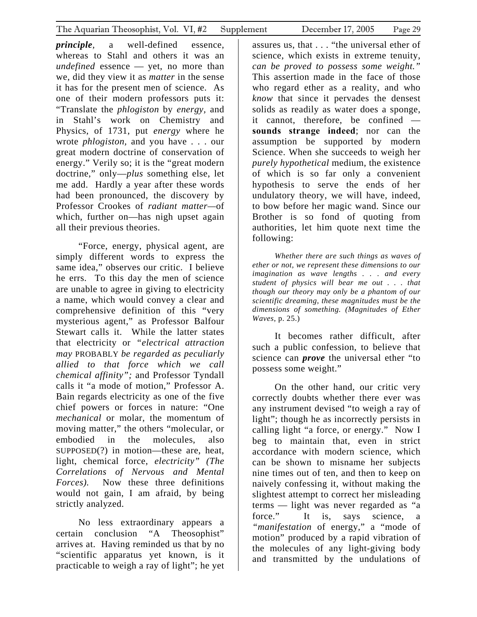*principle,* a well-defined essence, whereas to Stahl and others it was an *undefined* essence — yet, no more than we, did they view it as *matter* in the sense it has for the present men of science. As one of their modern professors puts it: "Translate the *phlogiston* by *energy,* and in Stahl's work on Chemistry and Physics, of 1731, put *energy* where he wrote *phlogiston,* and you have . . . our great modern doctrine of conservation of energy." Verily so; it is the "great modern doctrine," only—*plus* something else, let me add. Hardly a year after these words had been pronounced, the discovery by Professor Crookes of *radiant matter—*of which, further on—has nigh upset again all their previous theories.

"Force, energy, physical agent, are simply different words to express the same idea," observes our critic. I believe he errs. To this day the men of science are unable to agree in giving to electricity a name, which would convey a clear and comprehensive definition of this "very mysterious agent," as Professor Balfour Stewart calls it. While the latter states that electricity or *"electrical attraction may* PROBABLY *be regarded as peculiarly allied to that force which we call chemical affinity";* and Professor Tyndall calls it "a mode of motion," Professor A. Bain regards electricity as one of the five chief powers or forces in nature: "One *mechanical* or molar, the momentum of moving matter," the others "molecular, or embodied in the molecules, also SUPPOSED(?) in motion—these are, heat, light, chemical force, *electricity" (The Correlations of Nervous and Mental Forces).* Now these three definitions would not gain, I am afraid, by being strictly analyzed.

No less extraordinary appears a certain conclusion "A Theosophist" arrives at. Having reminded us that by no "scientific apparatus yet known, is it practicable to weigh a ray of light"; he yet

assures us, that . . . "the universal ether of science, which exists in extreme tenuity, *can be proved to possess some weight."*  This assertion made in the face of those who regard ether as a reality, and who *know* that since it pervades the densest solids as readily as water does a sponge, it cannot, therefore, be confined **sounds strange indeed**; nor can the assumption be supported by modern Science. When she succeeds to weigh her *purely hypothetical* medium, the existence of which is so far only a convenient hypothesis to serve the ends of her undulatory theory, we will have, indeed, to bow before her magic wand. Since our Brother is so fond of quoting from authorities, let him quote next time the following:

*Whether there are such things as waves of ether or not, we represent these dimensions to our imagination as wave lengths . . . and every student of physics will bear me out . . . that though our theory may only be a phantom of our scientific dreaming, these magnitudes must be the dimensions of something. (Magnitudes of Ether Waves*, p. 25.)

It becomes rather difficult, after such a public confession, to believe that science can *prove* the universal ether "to possess some weight."

On the other hand, our critic very correctly doubts whether there ever was any instrument devised "to weigh a ray of light"; though he as incorrectly persists in calling light "a force, or energy." Now I beg to maintain that, even in strict accordance with modern science, which can be shown to misname her subjects nine times out of ten, and then to keep on naively confessing it, without making the slightest attempt to correct her misleading terms — light was never regarded as "a force." It is, says science, *"manifestation* of energy," a "mode of motion" produced by a rapid vibration of the molecules of any light-giving body and transmitted by the undulations of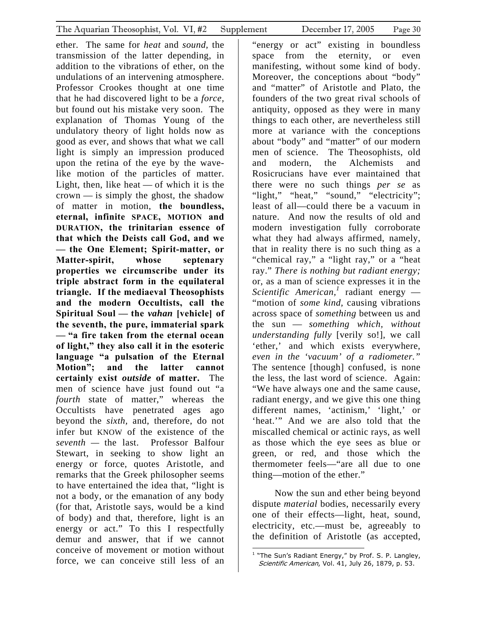ether. The same for *heat* and *sound,* the transmission of the latter depending, in addition to the vibrations of ether, on the undulations of an intervening atmosphere. Professor Crookes thought at one time that he had discovered light to be a *force,*  but found out his mistake very soon. The explanation of Thomas Young of the undulatory theory of light holds now as good as ever, and shows that what we call light is simply an impression produced upon the retina of the eye by the wavelike motion of the particles of matter. Light, then, like heat  $-$  of which it is the crown — is simply the ghost, the shadow of matter in motion, **the boundless, eternal, infinite SPACE, MOTION and DURATION, the trinitarian essence of that which the Deists call God, and we — the One Element; Spirit-matter, or Matter-spirit, whose septenary properties we circumscribe under its triple abstract form in the equilateral triangle. If the mediaeval Theosophists and the modern Occultists, call the Spiritual Soul — the** *vahan* **[vehicle] of the seventh, the pure, immaterial spark — "a fire taken from the eternal ocean of light," they also call it in the esoteric language "a pulsation of the Eternal Motion"; and the latter cannot certainly exist** *outside* **of matter.** The men of science have just found out "a *fourth* state of matter," whereas the Occultists have penetrated ages ago beyond the *sixth,* and, therefore, do not infer but KNOW of the existence of the *seventh —* the last. Professor Balfour Stewart, in seeking to show light an energy or force, quotes Aristotle, and remarks that the Greek philosopher seems to have entertained the idea that, "light is not a body, or the emanation of any body (for that, Aristotle says, would be a kind of body) and that, therefore, light is an energy or act." To this I respectfully demur and answer, that if we cannot conceive of movement or motion without force, we can conceive still less of an

"energy or act" existing in boundless space from the eternity, or even manifesting, without some kind of body. Moreover, the conceptions about "body" and "matter" of Aristotle and Plato, the founders of the two great rival schools of antiquity, opposed as they were in many things to each other, are nevertheless still more at variance with the conceptions about "body" and "matter" of our modern men of science. The Theosophists, old and modern, the Alchemists and Rosicrucians have ever maintained that there were no such things *per se* as "light," "heat," "sound," "electricity"; least of all—could there be a vacuum in nature. And now the results of old and modern investigation fully corroborate what they had always affirmed, namely, that in reality there is no such thing as a "chemical ray," a "light ray," or a "heat ray." *There is nothing but radiant energy;*  or, as a man of science expresses it in the *Scientific American,[1](#page-29-0)* radiant energy — "motion of *some kind,* causing vibrations across space of *something* between us and the sun — *something which, without understanding fully* [verily so!], we call 'ether,' and which exists everywhere, *even in the 'vacuum' of a radiometer."*  The sentence [though] confused, is none the less, the last word of science. Again: "We have always one and the same cause, radiant energy, and we give this one thing different names, 'actinism,' 'light,' or 'heat.'" And we are also told that the miscalled chemical or actinic rays, as well as those which the eye sees as blue or green, or red, and those which the thermometer feels—"are all due to one thing—motion of the ether."

Now the sun and ether being beyond dispute *material* bodies, necessarily every one of their effects—light, heat, sound, electricity, etc.—must be, agreeably to the definition of Aristotle (as accepted,

<span id="page-29-0"></span> 1 "The Sun's Radiant Energy," by Prof. S. P. Langley, Scientific American, Vol. 41, July 26, 1879, p. 53.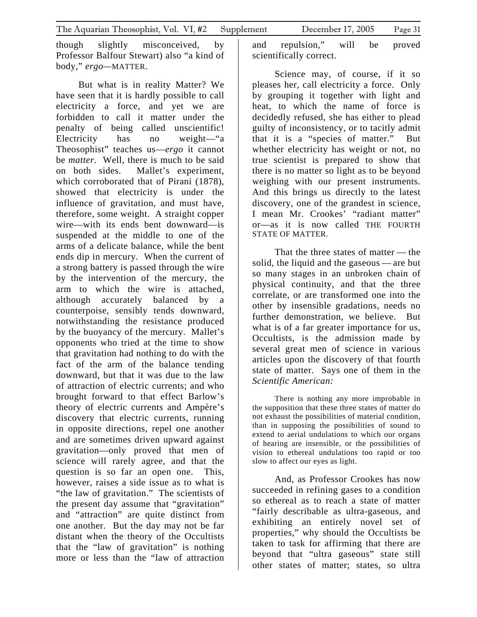though slightly misconceived, by Professor Balfour Stewart) also "a kind of body," *ergo—*MATTER.

But what is in reality Matter? We have seen that it is hardly possible to call electricity a force, and yet we are forbidden to call it matter under the penalty of being called unscientific! Electricity has no weight—"a Theosophist" teaches us—*ergo* it cannot be *matter.* Well, there is much to be said on both sides. Mallet's experiment, which corroborated that of Pirani (1878), showed that electricity is under the influence of gravitation, and must have, therefore, some weight. A straight copper wire—with its ends bent downward—is suspended at the middle to one of the arms of a delicate balance, while the bent ends dip in mercury. When the current of a strong battery is passed through the wire by the intervention of the mercury, the arm to which the wire is attached, although accurately balanced by a counterpoise, sensibly tends downward, notwithstanding the resistance produced by the buoyancy of the mercury. Mallet's opponents who tried at the time to show that gravitation had nothing to do with the fact of the arm of the balance tending downward, but that it was due to the law of attraction of electric currents; and who brought forward to that effect Barlow's theory of electric currents and Ampère's discovery that electric currents, running in opposite directions, repel one another and are sometimes driven upward against gravitation—only proved that men of science will rarely agree, and that the question is so far an open one. This, however, raises a side issue as to what is "the law of gravitation." The scientists of the present day assume that "gravitation" and "attraction" are quite distinct from one another. But the day may not be far distant when the theory of the Occultists that the "law of gravitation" is nothing more or less than the "law of attraction and repulsion," will be proved scientifically correct.

Science may, of course, if it so pleases her, call electricity a force. Only by grouping it together with light and heat, to which the name of force is decidedly refused, she has either to plead guilty of inconsistency, or to tacitly admit that it is a "species of matter." But whether electricity has weight or not, no true scientist is prepared to show that there is no matter so light as to be beyond weighing with our present instruments. And this brings us directly to the latest discovery, one of the grandest in science, I mean Mr. Crookes' "radiant matter" or—as it is now called THE FOURTH STATE OF MATTER.

That the three states of matter — the solid, the liquid and the gaseous — are but so many stages in an unbroken chain of physical continuity, and that the three correlate, or are transformed one into the other by insensible gradations, needs no further demonstration, we believe. But what is of a far greater importance for us, Occultists, is the admission made by several great men of science in various articles upon the discovery of that fourth state of matter. Says one of them in the *Scientific American:*

There is nothing any more improbable in the supposition that these three states of matter do not exhaust the possibilities of material condition, than in supposing the possibilities of sound to extend to aerial undulations to which our organs of hearing are insensible, or the possibilities of vision to ethereal undulations too rapid or too slow to affect our eyes as light.

And, as Professor Crookes has now succeeded in refining gases to a condition so ethereal as to reach a state of matter "fairly describable as ultra-gaseous, and exhibiting an entirely novel set of properties," why should the Occultists be taken to task for affirming that there are beyond that "ultra gaseous" state still other states of matter; states, so ultra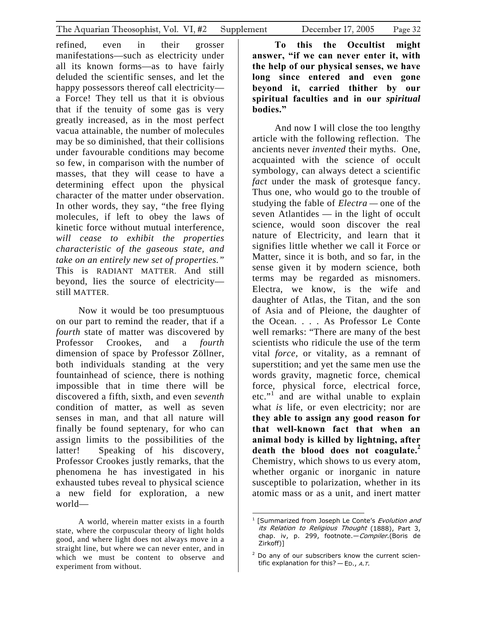refined, even in their grosser manifestations—such as electricity under all its known forms—as to have fairly deluded the scientific senses, and let the happy possessors thereof call electricity a Force! They tell us that it is obvious that if the tenuity of some gas is very greatly increased, as in the most perfect vacua attainable, the number of molecules

may be so diminished, that their collisions under favourable conditions may become so few, in comparison with the number of masses, that they will cease to have a determining effect upon the physical character of the matter under observation. In other words, they say, "the free flying molecules, if left to obey the laws of kinetic force without mutual interference, *will cease to exhibit the properties characteristic of the gaseous state, and take on an entirely new set of properties."*  This is RADIANT MATTER. And still beyond, lies the source of electricity still MATTER.

Now it would be too presumptuous on our part to remind the reader, that if a *fourth* state of matter was discovered by Professor Crookes, and a *fourth*  dimension of space by Professor Zöllner, both individuals standing at the very fountainhead of science, there is nothing impossible that in time there will be discovered a fifth, sixth, and even *seventh*  condition of matter, as well as seven senses in man, and that all nature will finally be found septenary, for who can assign limits to the possibilities of the latter! Speaking of his discovery, Professor Crookes justly remarks, that the phenomena he has investigated in his exhausted tubes reveal to physical science a new field for exploration, a new world—

A world, wherein matter exists in a fourth state, where the corpuscular theory of light holds good, and where light does not always move in a straight line, but where we can never enter, and in which we must be content to observe and experiment from without.

**To this the Occultist might answer, "if we can never enter it, with the help of our physical senses, we have long since entered and even gone beyond it, carried thither by our spiritual faculties and in our** *spiritual*  **bodies."** 

And now I will close the too lengthy article with the following reflection. The ancients never *invented* their myths. One, acquainted with the science of occult symbology, can always detect a scientific *fact* under the mask of grotesque fancy. Thus one, who would go to the trouble of studying the fable of *Electra —* one of the seven Atlantides — in the light of occult science, would soon discover the real nature of Electricity, and learn that it signifies little whether we call it Force or Matter, since it is both, and so far, in the sense given it by modern science, both terms may be regarded as misnomers. Electra, we know, is the wife and daughter of Atlas, the Titan, and the son of Asia and of Pleione, the daughter of the Ocean. . . . As Professor Le Conte well remarks: "There are many of the best scientists who ridicule the use of the term vital *force,* or vitality, as a remnant of superstition; and yet the same men use the words gravity, magnetic force, chemical force, physical force, electrical force, etc."<sup>[1](#page-31-0)</sup> and are withal unable to explain what *is* life, or even electricity; nor are **they able to assign any good reason for that well-known fact that when an animal body is killed by lightning, after death the blood does not coagulate.[2](#page-31-1)** Chemistry, which shows to us every atom, whether organic or inorganic in nature susceptible to polarization, whether in its atomic mass or as a unit, and inert matter

<span id="page-31-0"></span><sup>1</sup> *its Relation to Religious Thought* (1888), Part 3, <sup>1</sup> [Summarized from Joseph Le Conte's Evolution and chap. iv, p. 299, footnote. - Compiler. (Boris de Zirkoff)]

<span id="page-31-1"></span><sup>&</sup>lt;sup>2</sup> Do any of our subscribers know the current scientific explanation for this?  $-$  ED., A.T.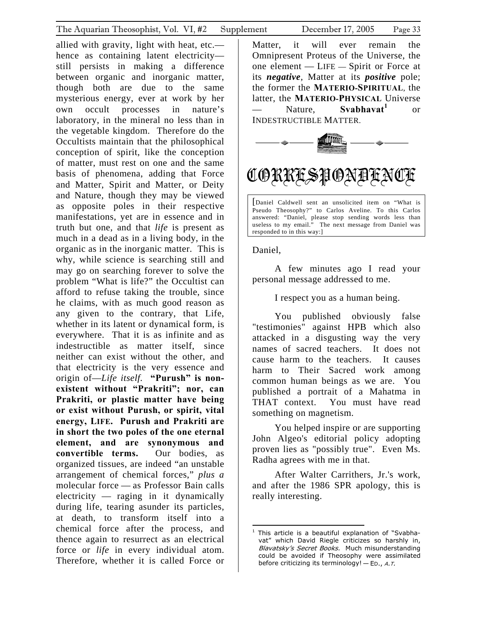<span id="page-32-0"></span>allied with gravity, light with heat, etc. hence as containing latent electricity still persists in making a difference between organic and inorganic matter, though both are due to the same mysterious energy, ever at work by her own occult processes in nature's laboratory, in the mineral no less than in the vegetable kingdom. Therefore do the Occultists maintain that the philosophical conception of spirit, like the conception of matter, must rest on one and the same basis of phenomena, adding that Force and Matter, Spirit and Matter, or Deity and Nature, though they may be viewed as opposite poles in their respective manifestations, yet are in essence and in truth but one, and that *life* is present as much in a dead as in a living body, in the organic as in the inorganic matter. This is why, while science is searching still and may go on searching forever to solve the problem "What is life?" the Occultist can afford to refuse taking the trouble, since he claims, with as much good reason as any given to the contrary, that Life, whether in its latent or dynamical form, is everywhere. That it is as infinite and as indestructible as matter itself, since neither can exist without the other, and that electricity is the very essence and origin of—*Life itself.* **"Purush" is nonexistent without "Prakriti"; nor, can Prakriti, or plastic matter have being or exist without Purush, or spirit, vital energy, LIFE. Purush and Prakriti are in short the two poles of the one eternal element, and are synonymous and convertible terms.** Our bodies, as organized tissues, are indeed "an unstable arrangement of chemical forces," *plus a*  molecular force — as Professor Bain calls electricity — raging in it dynamically during life, tearing asunder its particles, at death, to transform itself into a chemical force after the process, and thence again to resurrect as an electrical force or *life* in every individual atom. Therefore, whether it is called Force or

Matter, it will ever remain the Omnipresent Proteus of the Universe, the one element — LIFE — Spirit or Force at its *negative,* Matter at its *positive* pole; the former the **MATERIO-SPIRITUAL**, the latter, the **MATERIO-PHYSICAL** Universe — Nature, **Svabhavat[1](#page-32-1)** or INDESTRUCTIBLE MATTER.



# CORRESPONDENCE

[Daniel Caldwell sent an unsolicited item on "What is Pseudo Theosophy?" to Carlos Aveline. To this Carlos answered: "Daniel, please stop sending words less than useless to my email." The next message from Daniel was responded to in this way:]

Daniel,

A few minutes ago I read your personal message addressed to me.

I respect you as a human being.

You published obviously false "testimonies" against HPB which also attacked in a disgusting way the very names of sacred teachers. It does not cause harm to the teachers. It causes harm to Their Sacred work among common human beings as we are. You published a portrait of a Mahatma in THAT context. You must have read something on magnetism.

You helped inspire or are supporting John Algeo's editorial policy adopting proven lies as "possibly true". Even Ms. Radha agrees with me in that.

After Walter Carrithers, Jr.'s work, and after the 1986 SPR apology, this is really interesting.

<span id="page-32-1"></span><sup>1</sup> <sup>1</sup> This article is a beautiful explanation of "Svabhavat" which David Riegle criticizes so harshly in, Blavatsky's Secret Books. Much misunderstanding could be avoided if Theosophy were assimilated before criticizing its terminology!  $-$  ED., A.T.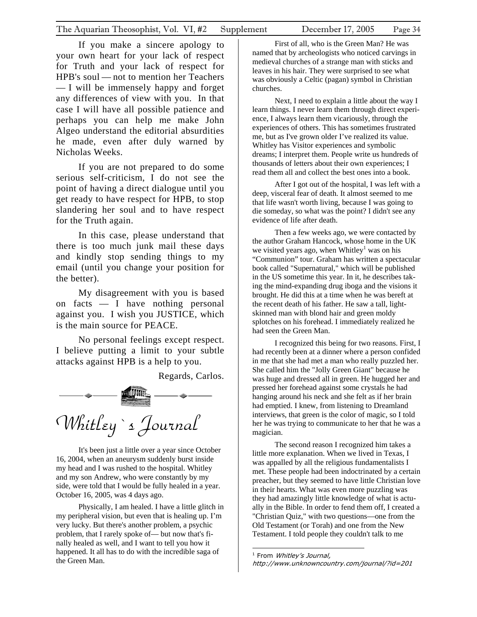If you make a sincere apology to your own heart for your lack of respect for Truth and your lack of respect for HPB's soul — not to mention her Teachers — I will be immensely happy and forget any differences of view with you. In that case I will have all possible patience and perhaps you can help me make John Algeo understand the editorial absurdities he made, even after duly warned by Nicholas Weeks.

If you are not prepared to do some serious self-criticism, I do not see the point of having a direct dialogue until you get ready to have respect for HPB, to stop slandering her soul and to have respect for the Truth again.

In this case, please understand that there is too much junk mail these days and kindly stop sending things to my email (until you change your position for the better).

My disagreement with you is based on facts — I have nothing personal against you. I wish you JUSTICE, which is the main source for PEACE.

No personal feelings except respect. I believe putting a limit to your subtle attacks against HPB is a help to you.

Regards, Carlos.



It's been just a little over a year since October 16, 2004, when an aneurysm suddenly burst inside my head and I was rushed to the hospital. Whitley and my son Andrew, who were constantly by my side, were told that I would be fully healed in a year. October 16, 2005, was 4 days ago.

Physically, I am healed. I have a little glitch in my peripheral vision, but even that is healing up. I'm very lucky. But there's another problem, a psychic problem, that I rarely spoke of— but now that's finally healed as well, and I want to tell you how it happened. It all has to do with the incredible saga of the Green Man.

First of all, who is the Green Man? He was named that by archeologists who noticed carvings in medieval churches of a strange man with sticks and leaves in his hair. They were surprised to see what was obviously a Celtic (pagan) symbol in Christian churches.

Next, I need to explain a little about the way I learn things. I never learn them through direct experience, I always learn them vicariously, through the experiences of others. This has sometimes frustrated me, but as I've grown older I've realized its value. Whitley has Visitor experiences and symbolic dreams; I interpret them. People write us hundreds of thousands of letters about their own experiences; I read them all and collect the best ones into a book.

After I got out of the hospital, I was left with a deep, visceral fear of death. It almost seemed to me that life wasn't worth living, because I was going to die someday, so what was the point? I didn't see any evidence of life after death.

Then a few weeks ago, we were contacted by the author Graham Hancock, whose home in the UK we visited years ago, when  $Whitley<sup>1</sup>$  $Whitley<sup>1</sup>$  $Whitley<sup>1</sup>$  was on his "Communion" tour. Graham has written a spectacular book called "Supernatural," which will be published in the US sometime this year. In it, he describes taking the mind-expanding drug iboga and the visions it brought. He did this at a time when he was bereft at the recent death of his father. He saw a tall, lightskinned man with blond hair and green moldy splotches on his forehead. I immediately realized he had seen the Green Man.

I recognized this being for two reasons. First, I had recently been at a dinner where a person confided in me that she had met a man who really puzzled her. She called him the "Jolly Green Giant" because he was huge and dressed all in green. He hugged her and pressed her forehead against some crystals he had hanging around his neck and she felt as if her brain had emptied. I knew, from listening to Dreamland interviews, that green is the color of magic, so I told her he was trying to communicate to her that he was a magician.

The second reason I recognized him takes a little more explanation. When we lived in Texas, I was appalled by all the religious fundamentalists I met. These people had been indoctrinated by a certain preacher, but they seemed to have little Christian love in their hearts. What was even more puzzling was they had amazingly little knowledge of what is actually in the Bible. In order to fend them off, I created a "Christian Quiz," with two questions—one from the Old Testament (or Torah) and one from the New Testament. I told people they couldn't talk to me

<sup>1</sup> <sup>1</sup> From *Whitley's Journal*,

<span id="page-33-0"></span><sup>.</sup> http://www.unknowncountry com/journal/?id=201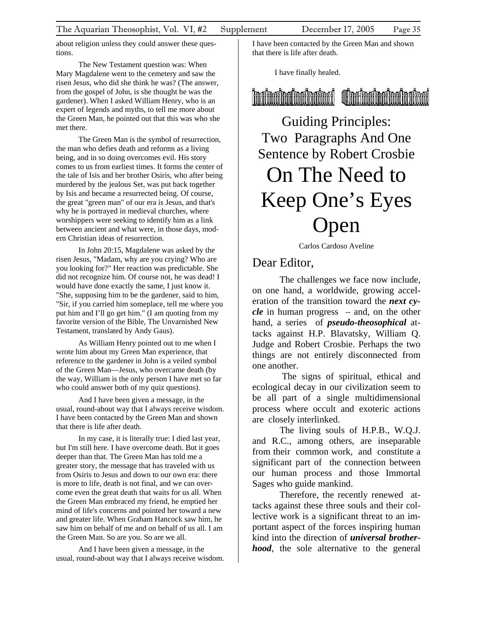<span id="page-34-0"></span>about religion unless they could answer these questions.

The New Testament question was: When Mary Magdalene went to the cemetery and saw the risen Jesus, who did she think he was? (The answer, from the gospel of John, is she thought he was the gardener). When I asked William Henry, who is an expert of legends and myths, to tell me more about the Green Man, he pointed out that this was who she met there.

The Green Man is the symbol of resurrection, the man who defies death and reforms as a living being, and in so doing overcomes evil. His story comes to us from earliest times. It forms the center of the tale of Isis and her brother Osiris, who after being murdered by the jealous Set, was put back together by Isis and became a resurrected being. Of course, the great "green man" of our era is Jesus, and that's why he is portrayed in medieval churches, where worshippers were seeking to identify him as a link between ancient and what were, in those days, modern Christian ideas of resurrection.

In John 20:15, Magdalene was asked by the risen Jesus, "Madam, why are you crying? Who are you looking for?" Her reaction was predictable. She did not recognize him. Of course not, he was dead! I would have done exactly the same, I just know it. "She, supposing him to be the gardener, said to him, "Sir, if you carried him someplace, tell me where you put him and I'll go get him." (I am quoting from my favorite version of the Bible, The Unvarnished New Testament, translated by Andy Gaus).

As William Henry pointed out to me when I wrote him about my Green Man experience, that reference to the gardener in John is a veiled symbol of the Green Man—Jesus, who overcame death (by the way, William is the only person I have met so far who could answer both of my quiz questions).

And I have been given a message, in the usual, round-about way that I always receive wisdom. I have been contacted by the Green Man and shown that there is life after death.

In my case, it is literally true: I died last year, but I'm still here. I have overcome death. But it goes deeper than that. The Green Man has told me a greater story, the message that has traveled with us from Osiris to Jesus and down to our own era: there is more to life, death is not final, and we can overcome even the great death that waits for us all. When the Green Man embraced my friend, he emptied her mind of life's concerns and pointed her toward a new and greater life. When Graham Hancock saw him, he saw him on behalf of me and on behalf of us all. I am the Green Man. So are you. So are we all.

And I have been given a message, in the usual, round-about way that I always receive wisdom. I have been contacted by the Green Man and shown that there is life after death.

I have finally healed.

# munahalminahan Chatrataninahan

### Guiding Principles: Two Paragraphs And One Sentence by Robert Crosbie On The Need to Keep One's Eyes Open

Carlos Cardoso Aveline

#### Dear Editor,

The challenges we face now include, on one hand, a worldwide, growing acceleration of the transition toward the *next cycle* in human progress – and, on the other hand, a series of *pseudo-theosophical* attacks against H.P. Blavatsky, William Q. Judge and Robert Crosbie. Perhaps the two things are not entirely disconnected from one another.

The signs of spiritual, ethical and ecological decay in our civilization seem to be all part of a single multidimensional process where occult and exoteric actions are closely interlinked.

The living souls of H.P.B., W.Q.J. and R.C., among others, are inseparable from their common work, and constitute a significant part of the connection between our human process and those Immortal Sages who guide mankind.

Therefore, the recently renewed attacks against these three souls and their collective work is a significant threat to an important aspect of the forces inspiring human kind into the direction of *universal brotherhood*, the sole alternative to the general